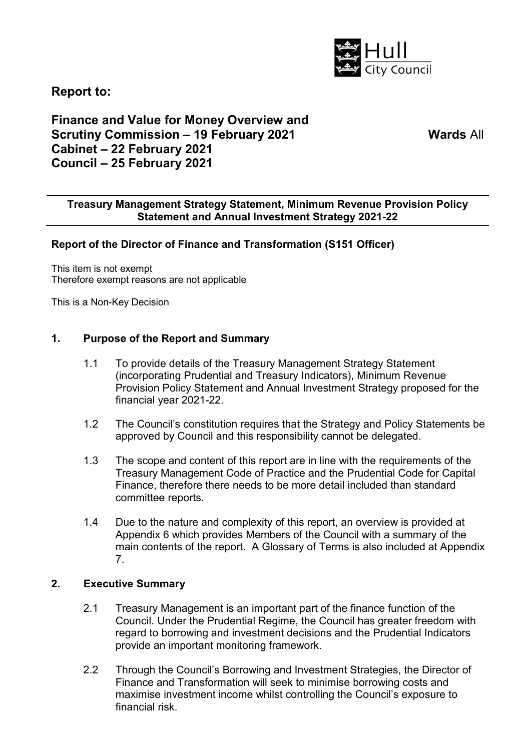

**Report to:** 

# **Finance and Value for Money Overview and Scrutiny Commission – 19 February 2021 Cabinet – 22 February 2021 Council – 25 February 2021**

**Wards** All

### **Treasury Management Strategy Statement, Minimum Revenue Provision Policy Statement and Annual Investment Strategy 2021-22**

## **Report of the Director of Finance and Transformation (S151 Officer)**

This item is not exempt Therefore exempt reasons are not applicable

This is a Non-Key Decision

#### **1. Purpose of the Report and Summary**

- 1.1 To provide details of the Treasury Management Strategy Statement (incorporating Prudential and Treasury Indicators), Minimum Revenue Provision Policy Statement and Annual Investment Strategy proposed for the financial year 2021-22.
- 1.2 The Council's constitution requires that the Strategy and Policy Statements be approved by Council and this responsibility cannot be delegated.
- 1.3 The scope and content of this report are in line with the requirements of the Treasury Management Code of Practice and the Prudential Code for Capital Finance, therefore there needs to be more detail included than standard committee reports.
- 1.4 Due to the nature and complexity of this report, an overview is provided at Appendix 6 which provides Members of the Council with a summary of the main contents of the report. A Glossary of Terms is also included at Appendix 7.

#### **2. Executive Summary**

- 2.1 Treasury Management is an important part of the finance function of the Council. Under the Prudential Regime, the Council has greater freedom with regard to borrowing and investment decisions and the Prudential Indicators provide an important monitoring framework.
- 2.2 Through the Council's Borrowing and Investment Strategies, the Director of Finance and Transformation will seek to minimise borrowing costs and maximise investment income whilst controlling the Council's exposure to financial risk.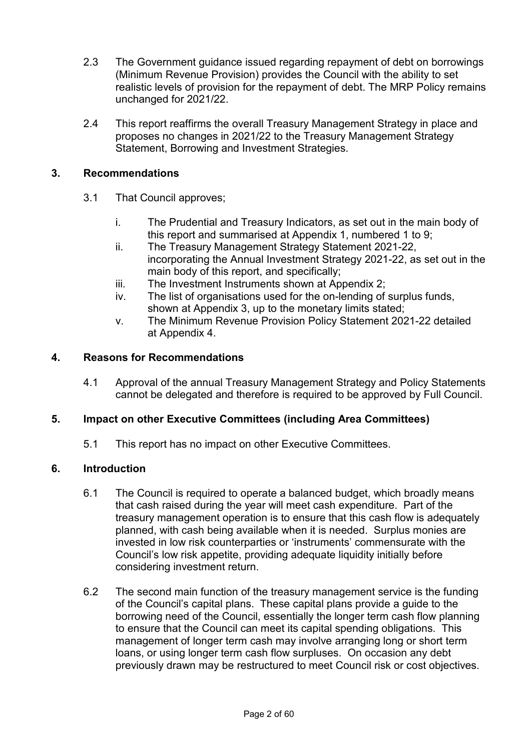- 2.3 The Government guidance issued regarding repayment of debt on borrowings (Minimum Revenue Provision) provides the Council with the ability to set realistic levels of provision for the repayment of debt. The MRP Policy remains unchanged for 2021/22.
- 2.4 This report reaffirms the overall Treasury Management Strategy in place and proposes no changes in 2021/22 to the Treasury Management Strategy Statement, Borrowing and Investment Strategies.

## **3. Recommendations**

- 3.1 That Council approves;
	- i. The Prudential and Treasury Indicators, as set out in the main body of this report and summarised at Appendix 1, numbered 1 to 9;
	- ii. The Treasury Management Strategy Statement 2021-22, incorporating the Annual Investment Strategy 2021-22, as set out in the main body of this report, and specifically;
	- iii. The Investment Instruments shown at Appendix 2;
	- iv. The list of organisations used for the on-lending of surplus funds, shown at Appendix 3, up to the monetary limits stated;
	- v. The Minimum Revenue Provision Policy Statement 2021-22 detailed at Appendix 4.

## **4. Reasons for Recommendations**

4.1 Approval of the annual Treasury Management Strategy and Policy Statements cannot be delegated and therefore is required to be approved by Full Council.

## **5. Impact on other Executive Committees (including Area Committees)**

5.1 This report has no impact on other Executive Committees.

## **6. Introduction**

- 6.1 The Council is required to operate a balanced budget, which broadly means that cash raised during the year will meet cash expenditure. Part of the treasury management operation is to ensure that this cash flow is adequately planned, with cash being available when it is needed. Surplus monies are invested in low risk counterparties or 'instruments' commensurate with the Council's low risk appetite, providing adequate liquidity initially before considering investment return.
- 6.2 The second main function of the treasury management service is the funding of the Council's capital plans. These capital plans provide a guide to the borrowing need of the Council, essentially the longer term cash flow planning to ensure that the Council can meet its capital spending obligations. This management of longer term cash may involve arranging long or short term loans, or using longer term cash flow surpluses. On occasion any debt previously drawn may be restructured to meet Council risk or cost objectives.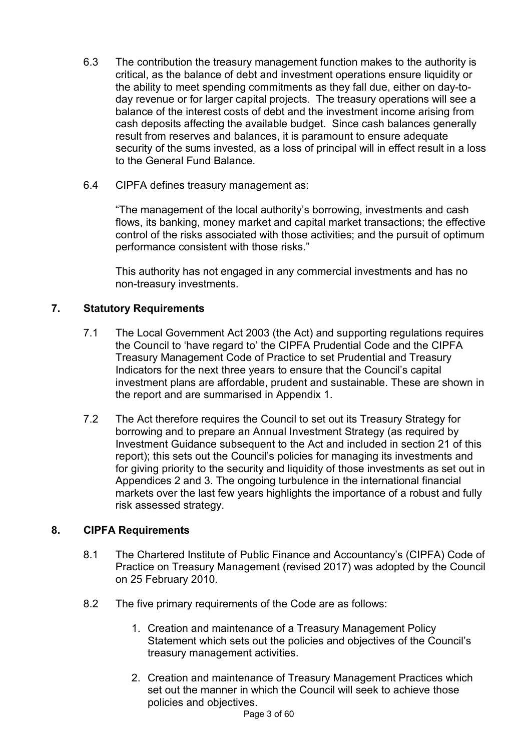- 6.3 The contribution the treasury management function makes to the authority is critical, as the balance of debt and investment operations ensure liquidity or the ability to meet spending commitments as they fall due, either on day-today revenue or for larger capital projects. The treasury operations will see a balance of the interest costs of debt and the investment income arising from cash deposits affecting the available budget. Since cash balances generally result from reserves and balances, it is paramount to ensure adequate security of the sums invested, as a loss of principal will in effect result in a loss to the General Fund Balance.
- 6.4 CIPFA defines treasury management as:

"The management of the local authority's borrowing, investments and cash flows, its banking, money market and capital market transactions; the effective control of the risks associated with those activities; and the pursuit of optimum performance consistent with those risks."

This authority has not engaged in any commercial investments and has no non-treasury investments.

# **7. Statutory Requirements**

- 7.1 The Local Government Act 2003 (the Act) and supporting regulations requires the Council to 'have regard to' the CIPFA Prudential Code and the CIPFA Treasury Management Code of Practice to set Prudential and Treasury Indicators for the next three years to ensure that the Council's capital investment plans are affordable, prudent and sustainable. These are shown in the report and are summarised in Appendix 1.
- 7.2 The Act therefore requires the Council to set out its Treasury Strategy for borrowing and to prepare an Annual Investment Strategy (as required by Investment Guidance subsequent to the Act and included in section 21 of this report); this sets out the Council's policies for managing its investments and for giving priority to the security and liquidity of those investments as set out in Appendices 2 and 3. The ongoing turbulence in the international financial markets over the last few years highlights the importance of a robust and fully risk assessed strategy.

## **8. CIPFA Requirements**

- 8.1 The Chartered Institute of Public Finance and Accountancy's (CIPFA) Code of Practice on Treasury Management (revised 2017) was adopted by the Council on 25 February 2010.
- 8.2 The five primary requirements of the Code are as follows:
	- 1. Creation and maintenance of a Treasury Management Policy Statement which sets out the policies and objectives of the Council's treasury management activities.
	- 2. Creation and maintenance of Treasury Management Practices which set out the manner in which the Council will seek to achieve those policies and objectives.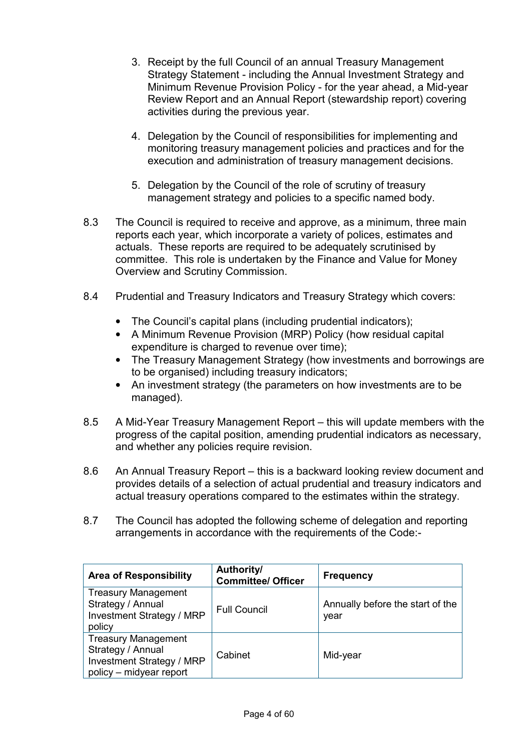- 3. Receipt by the full Council of an annual Treasury Management Strategy Statement - including the Annual Investment Strategy and Minimum Revenue Provision Policy - for the year ahead, a Mid-year Review Report and an Annual Report (stewardship report) covering activities during the previous year.
- 4. Delegation by the Council of responsibilities for implementing and monitoring treasury management policies and practices and for the execution and administration of treasury management decisions.
- 5. Delegation by the Council of the role of scrutiny of treasury management strategy and policies to a specific named body.
- 8.3 The Council is required to receive and approve, as a minimum, three main reports each year, which incorporate a variety of polices, estimates and actuals. These reports are required to be adequately scrutinised by committee. This role is undertaken by the Finance and Value for Money Overview and Scrutiny Commission.
- 8.4 Prudential and Treasury Indicators and Treasury Strategy which covers:
	- The Council's capital plans (including prudential indicators);
	- A Minimum Revenue Provision (MRP) Policy (how residual capital expenditure is charged to revenue over time):
	- The Treasury Management Strategy (how investments and borrowings are to be organised) including treasury indicators;
	- An investment strategy (the parameters on how investments are to be managed).
- 8.5 A Mid-Year Treasury Management Report this will update members with the progress of the capital position, amending prudential indicators as necessary, and whether any policies require revision.
- 8.6 An Annual Treasury Report this is a backward looking review document and provides details of a selection of actual prudential and treasury indicators and actual treasury operations compared to the estimates within the strategy.
- 8.7 The Council has adopted the following scheme of delegation and reporting arrangements in accordance with the requirements of the Code:-

| <b>Area of Responsibility</b>                                                                           | Authority/<br><b>Committee/ Officer</b> | <b>Frequency</b>                         |
|---------------------------------------------------------------------------------------------------------|-----------------------------------------|------------------------------------------|
| <b>Treasury Management</b><br>Strategy / Annual<br>Investment Strategy / MRP<br>policy                  | <b>Full Council</b>                     | Annually before the start of the<br>year |
| <b>Treasury Management</b><br>Strategy / Annual<br>Investment Strategy / MRP<br>policy – midyear report | Cabinet                                 | Mid-year                                 |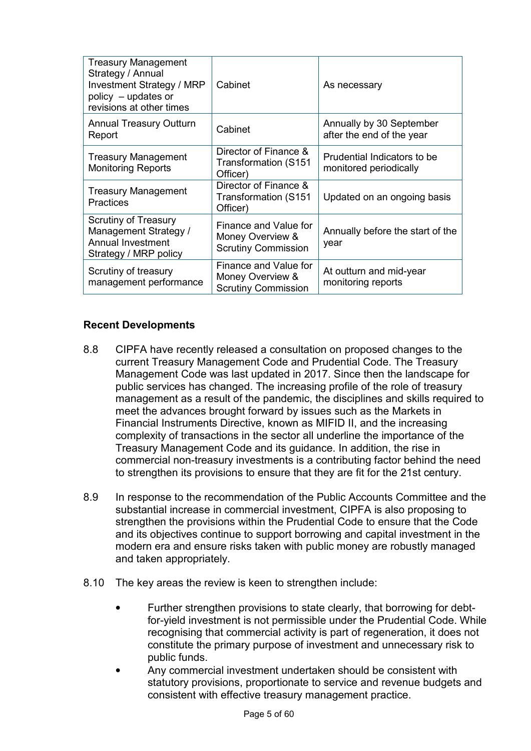| <b>Treasury Management</b><br>Strategy / Annual<br>Investment Strategy / MRP<br>policy - updates or<br>revisions at other times | Cabinet                                                                 | As necessary                                          |
|---------------------------------------------------------------------------------------------------------------------------------|-------------------------------------------------------------------------|-------------------------------------------------------|
| <b>Annual Treasury Outturn</b><br>Report                                                                                        | Cabinet                                                                 | Annually by 30 September<br>after the end of the year |
| <b>Treasury Management</b><br><b>Monitoring Reports</b>                                                                         | Director of Finance &<br><b>Transformation (S151</b><br>Officer)        | Prudential Indicators to be<br>monitored periodically |
| <b>Treasury Management</b><br>Practices                                                                                         | Director of Finance &<br>Transformation (S151<br>Officer)               | Updated on an ongoing basis                           |
| <b>Scrutiny of Treasury</b><br>Management Strategy /<br><b>Annual Investment</b><br>Strategy / MRP policy                       | Finance and Value for<br>Money Overview &<br><b>Scrutiny Commission</b> | Annually before the start of the<br>year              |
| Scrutiny of treasury<br>management performance                                                                                  | Finance and Value for<br>Money Overview &<br><b>Scrutiny Commission</b> | At outturn and mid-year<br>monitoring reports         |

## **Recent Developments**

- 8.8 CIPFA have recently released a consultation on proposed changes to the current Treasury Management Code and Prudential Code. The Treasury Management Code was last updated in 2017. Since then the landscape for public services has changed. The increasing profile of the role of treasury management as a result of the pandemic, the disciplines and skills required to meet the advances brought forward by issues such as the Markets in Financial Instruments Directive, known as MIFID II, and the increasing complexity of transactions in the sector all underline the importance of the Treasury Management Code and its guidance. In addition, the rise in commercial non-treasury investments is a contributing factor behind the need to strengthen its provisions to ensure that they are fit for the 21st century.
- 8.9 In response to the recommendation of the Public Accounts Committee and the substantial increase in commercial investment, CIPFA is also proposing to strengthen the provisions within the Prudential Code to ensure that the Code and its objectives continue to support borrowing and capital investment in the modern era and ensure risks taken with public money are robustly managed and taken appropriately.
- 8.10 The key areas the review is keen to strengthen include:
	- Further strengthen provisions to state clearly, that borrowing for debtfor-yield investment is not permissible under the Prudential Code. While recognising that commercial activity is part of regeneration, it does not constitute the primary purpose of investment and unnecessary risk to public funds.
	- Any commercial investment undertaken should be consistent with statutory provisions, proportionate to service and revenue budgets and consistent with effective treasury management practice.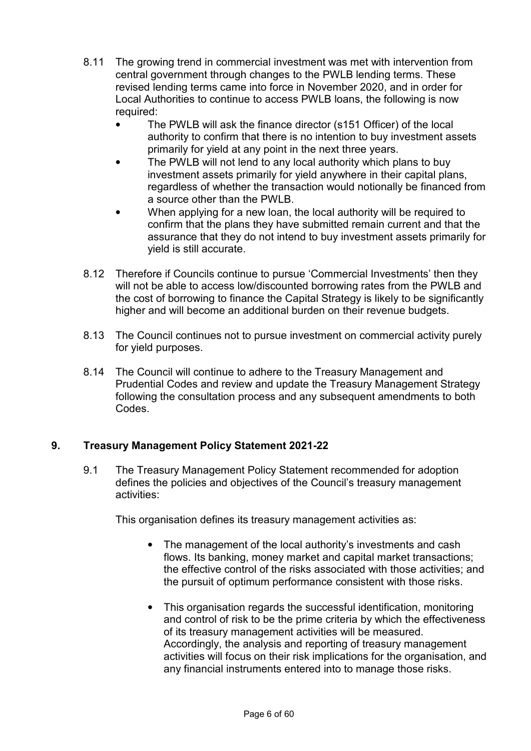- 8.11 The growing trend in commercial investment was met with intervention from central government through changes to the PWLB lending terms. These revised lending terms came into force in November 2020, and in order for Local Authorities to continue to access PWLB loans, the following is now required:
	- The PWLB will ask the finance director (s151 Officer) of the local authority to confirm that there is no intention to buy investment assets primarily for yield at any point in the next three years.
	- The PWLB will not lend to any local authority which plans to buy investment assets primarily for yield anywhere in their capital plans, regardless of whether the transaction would notionally be financed from a source other than the PWLB.
	- When applying for a new loan, the local authority will be required to confirm that the plans they have submitted remain current and that the assurance that they do not intend to buy investment assets primarily for yield is still accurate.
- 8.12 Therefore if Councils continue to pursue 'Commercial Investments' then they will not be able to access low/discounted borrowing rates from the PWLB and the cost of borrowing to finance the Capital Strategy is likely to be significantly higher and will become an additional burden on their revenue budgets.
- 8.13 The Council continues not to pursue investment on commercial activity purely for yield purposes.
- 8.14 The Council will continue to adhere to the Treasury Management and Prudential Codes and review and update the Treasury Management Strategy following the consultation process and any subsequent amendments to both Codes.

## **9. Treasury Management Policy Statement 2021-22**

9.1 The Treasury Management Policy Statement recommended for adoption defines the policies and objectives of the Council's treasury management activities:

This organisation defines its treasury management activities as:

- The management of the local authority's investments and cash flows. Its banking, money market and capital market transactions; the effective control of the risks associated with those activities; and the pursuit of optimum performance consistent with those risks.
- This organisation regards the successful identification, monitoring and control of risk to be the prime criteria by which the effectiveness of its treasury management activities will be measured. Accordingly, the analysis and reporting of treasury management activities will focus on their risk implications for the organisation, and any financial instruments entered into to manage those risks.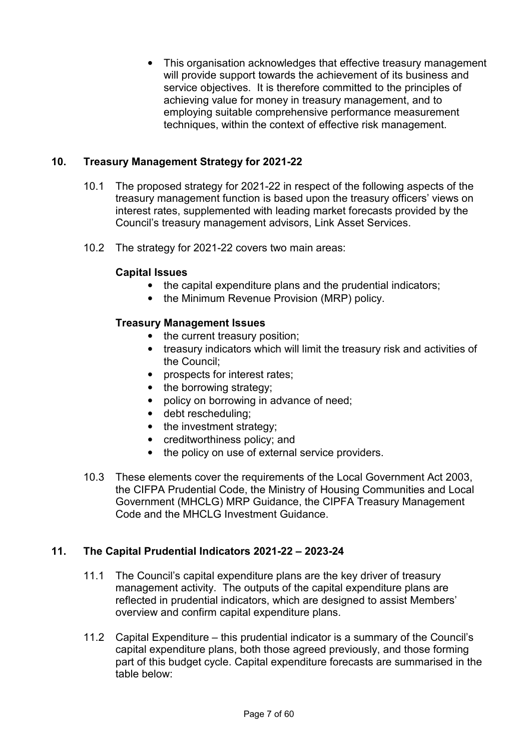• This organisation acknowledges that effective treasury management will provide support towards the achievement of its business and service objectives. It is therefore committed to the principles of achieving value for money in treasury management, and to employing suitable comprehensive performance measurement techniques, within the context of effective risk management.

# **10. Treasury Management Strategy for 2021-22**

- 10.1 The proposed strategy for 2021-22 in respect of the following aspects of the treasury management function is based upon the treasury officers' views on interest rates, supplemented with leading market forecasts provided by the Council's treasury management advisors, Link Asset Services.
- 10.2 The strategy for 2021-22 covers two main areas:

## **Capital Issues**

- the capital expenditure plans and the prudential indicators;
- the Minimum Revenue Provision (MRP) policy.

## **Treasury Management Issues**

- the current treasury position;
- treasury indicators which will limit the treasury risk and activities of the Council;
- prospects for interest rates:
- the borrowing strategy;
- policy on borrowing in advance of need;
- debt rescheduling;
- the investment strategy:
- creditworthiness policy; and
- the policy on use of external service providers.
- 10.3 These elements cover the requirements of the Local Government Act 2003, the CIFPA Prudential Code, the Ministry of Housing Communities and Local Government (MHCLG) MRP Guidance, the CIPFA Treasury Management Code and the MHCLG Investment Guidance

## **11. The Capital Prudential Indicators 2021-22 – 2023-24**

- 11.1 The Council's capital expenditure plans are the key driver of treasury management activity. The outputs of the capital expenditure plans are reflected in prudential indicators, which are designed to assist Members' overview and confirm capital expenditure plans.
- 11.2 Capital Expenditure this prudential indicator is a summary of the Council's capital expenditure plans, both those agreed previously, and those forming part of this budget cycle. Capital expenditure forecasts are summarised in the table below: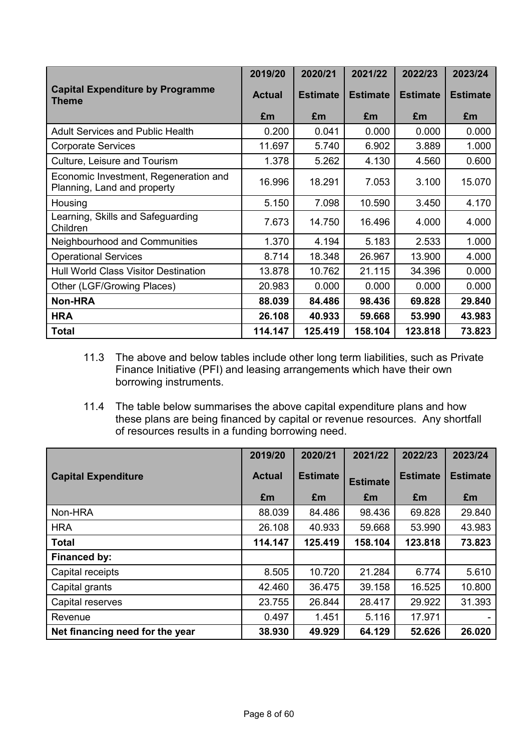|                                                                      | 2019/20       | 2020/21         | 2021/22         | 2022/23         | 2023/24         |
|----------------------------------------------------------------------|---------------|-----------------|-----------------|-----------------|-----------------|
| <b>Capital Expenditure by Programme</b><br>Theme                     | <b>Actual</b> | <b>Estimate</b> | <b>Estimate</b> | <b>Estimate</b> | <b>Estimate</b> |
|                                                                      | £m            | £m              | £m              | £m              | £m              |
| <b>Adult Services and Public Health</b>                              | 0.200         | 0.041           | 0.000           | 0.000           | 0.000           |
| <b>Corporate Services</b>                                            | 11.697        | 5.740           | 6.902           | 3.889           | 1.000           |
| Culture, Leisure and Tourism                                         | 1.378         | 5.262           | 4.130           | 4.560           | 0.600           |
| Economic Investment, Regeneration and<br>Planning, Land and property | 16.996        | 18.291          | 7.053           | 3.100           | 15.070          |
| Housing                                                              | 5.150         | 7.098           | 10.590          | 3.450           | 4.170           |
| Learning, Skills and Safeguarding<br>Children                        | 7.673         | 14.750          | 16.496          | 4.000           | 4.000           |
| Neighbourhood and Communities                                        | 1.370         | 4.194           | 5.183           | 2.533           | 1.000           |
| <b>Operational Services</b>                                          | 8.714         | 18.348          | 26.967          | 13.900          | 4.000           |
| <b>Hull World Class Visitor Destination</b>                          | 13.878        | 10.762          | 21.115          | 34.396          | 0.000           |
| Other (LGF/Growing Places)                                           | 20.983        | 0.000           | 0.000           | 0.000           | 0.000           |
| <b>Non-HRA</b>                                                       | 88.039        | 84.486          | 98.436          | 69.828          | 29.840          |
| <b>HRA</b>                                                           | 26.108        | 40.933          | 59.668          | 53.990          | 43.983          |
| <b>Total</b>                                                         | 114.147       | 125.419         | 158.104         | 123.818         | 73.823          |

- 11.3 The above and below tables include other long term liabilities, such as Private Finance Initiative (PFI) and leasing arrangements which have their own borrowing instruments.
- 11.4 The table below summarises the above capital expenditure plans and how these plans are being financed by capital or revenue resources. Any shortfall of resources results in a funding borrowing need.

|                                 | 2019/20       | 2020/21         | 2021/22         | 2022/23         | 2023/24         |
|---------------------------------|---------------|-----------------|-----------------|-----------------|-----------------|
| <b>Capital Expenditure</b>      | <b>Actual</b> | <b>Estimate</b> | <b>Estimate</b> | <b>Estimate</b> | <b>Estimate</b> |
|                                 | £m            | £m              | £m              | £m              | £m              |
| Non-HRA                         | 88.039        | 84.486          | 98.436          | 69.828          | 29.840          |
| <b>HRA</b>                      | 26.108        | 40.933          | 59.668          | 53.990          | 43.983          |
| <b>Total</b>                    | 114.147       | 125.419         | 158.104         | 123.818         | 73.823          |
| Financed by:                    |               |                 |                 |                 |                 |
| Capital receipts                | 8.505         | 10.720          | 21.284          | 6.774           | 5.610           |
| Capital grants                  | 42.460        | 36.475          | 39.158          | 16.525          | 10.800          |
| Capital reserves                | 23.755        | 26.844          | 28.417          | 29.922          | 31.393          |
| Revenue                         | 0.497         | 1.451           | 5.116           | 17.971          |                 |
| Net financing need for the year | 38.930        | 49.929          | 64.129          | 52.626          | 26.020          |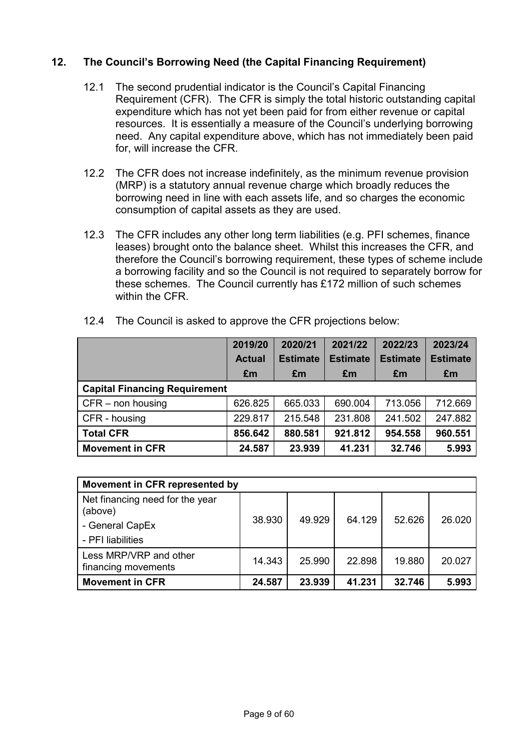## **12. The Council's Borrowing Need (the Capital Financing Requirement)**

- 12.1 The second prudential indicator is the Council's Capital Financing Requirement (CFR). The CFR is simply the total historic outstanding capital expenditure which has not yet been paid for from either revenue or capital resources. It is essentially a measure of the Council's underlying borrowing need. Any capital expenditure above, which has not immediately been paid for, will increase the CFR.
- 12.2 The CFR does not increase indefinitely, as the minimum revenue provision (MRP) is a statutory annual revenue charge which broadly reduces the borrowing need in line with each assets life, and so charges the economic consumption of capital assets as they are used.
- 12.3 The CFR includes any other long term liabilities (e.g. PFI schemes, finance leases) brought onto the balance sheet. Whilst this increases the CFR, and therefore the Council's borrowing requirement, these types of scheme include a borrowing facility and so the Council is not required to separately borrow for these schemes. The Council currently has £172 million of such schemes within the CFR.

|                                      | 2019/20<br><b>Actual</b> | 2020/21<br><b>Estimate</b> | 2021/22<br><b>Estimate</b> | 2022/23<br><b>Estimate</b> | 2023/24<br><b>Estimate</b> |  |  |
|--------------------------------------|--------------------------|----------------------------|----------------------------|----------------------------|----------------------------|--|--|
|                                      | £m                       | £m                         | £m                         | £m                         | £m                         |  |  |
| <b>Capital Financing Requirement</b> |                          |                            |                            |                            |                            |  |  |
| $CFR$ – non housing                  | 626.825                  | 665.033                    | 690.004                    | 713.056                    | 712.669                    |  |  |
| CFR - housing                        | 229.817                  | 215.548                    | 231.808                    | 241.502                    | 247.882                    |  |  |
| <b>Total CFR</b>                     | 856.642                  | 880.581                    | 921.812                    | 954.558                    | 960.551                    |  |  |
| <b>Movement in CFR</b>               | 24.587                   | 23.939                     | 41.231                     | 32.746                     | 5.993                      |  |  |

12.4 The Council is asked to approve the CFR projections below:

| Movement in CFR represented by                                |        |        |        |        |        |  |
|---------------------------------------------------------------|--------|--------|--------|--------|--------|--|
| Net financing need for the year<br>(above)<br>- General CapEx | 38.930 | 49.929 | 64.129 | 52.626 | 26.020 |  |
| - PFI liabilities                                             |        |        |        |        |        |  |
| Less MRP/VRP and other<br>financing movements                 | 14.343 | 25.990 | 22.898 | 19.880 | 20.027 |  |
| <b>Movement in CFR</b>                                        | 24.587 | 23.939 | 41.231 | 32.746 | 5.993  |  |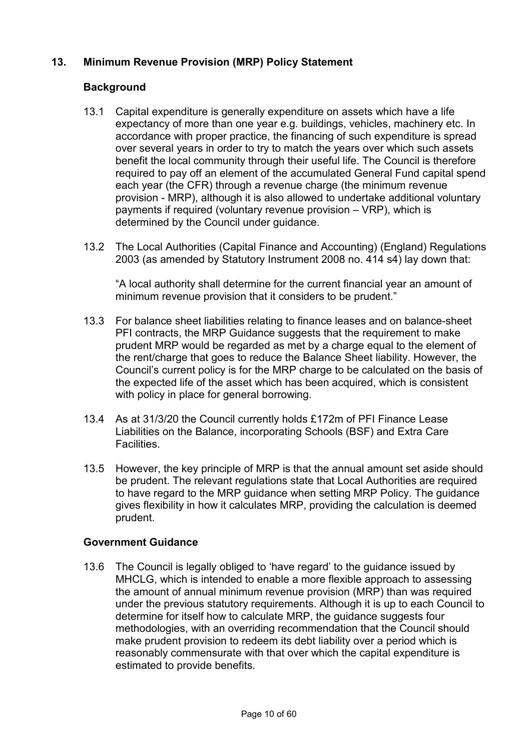# **13. Minimum Revenue Provision (MRP) Policy Statement**

## **Background**

- 13.1 Capital expenditure is generally expenditure on assets which have a life expectancy of more than one year e.g. buildings, vehicles, machinery etc. In accordance with proper practice, the financing of such expenditure is spread over several years in order to try to match the years over which such assets benefit the local community through their useful life. The Council is therefore required to pay off an element of the accumulated General Fund capital spend each year (the CFR) through a revenue charge (the minimum revenue provision - MRP), although it is also allowed to undertake additional voluntary payments if required (voluntary revenue provision – VRP), which is determined by the Council under guidance.
- 13.2 The Local Authorities (Capital Finance and Accounting) (England) Regulations 2003 (as amended by Statutory Instrument 2008 no. 414 s4) lay down that:

"A local authority shall determine for the current financial year an amount of minimum revenue provision that it considers to be prudent."

- 13.3 For balance sheet liabilities relating to finance leases and on balance-sheet PFI contracts, the MRP Guidance suggests that the requirement to make prudent MRP would be regarded as met by a charge equal to the element of the rent/charge that goes to reduce the Balance Sheet liability. However, the Council's current policy is for the MRP charge to be calculated on the basis of the expected life of the asset which has been acquired, which is consistent with policy in place for general borrowing.
- 13.4 As at 31/3/20 the Council currently holds £172m of PFI Finance Lease Liabilities on the Balance, incorporating Schools (BSF) and Extra Care Facilities.
- 13.5 However, the key principle of MRP is that the annual amount set aside should be prudent. The relevant regulations state that Local Authorities are required to have regard to the MRP guidance when setting MRP Policy. The guidance gives flexibility in how it calculates MRP, providing the calculation is deemed prudent.

### **Government Guidance**

13.6 The Council is legally obliged to 'have regard' to the guidance issued by MHCLG, which is intended to enable a more flexible approach to assessing the amount of annual minimum revenue provision (MRP) than was required under the previous statutory requirements. Although it is up to each Council to determine for itself how to calculate MRP, the guidance suggests four methodologies, with an overriding recommendation that the Council should make prudent provision to redeem its debt liability over a period which is reasonably commensurate with that over which the capital expenditure is estimated to provide benefits.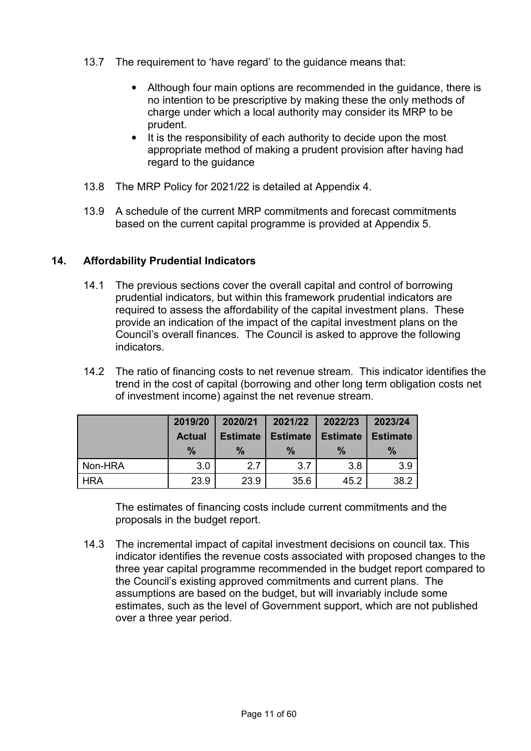- 13.7 The requirement to 'have regard' to the guidance means that:
	- Although four main options are recommended in the guidance, there is no intention to be prescriptive by making these the only methods of charge under which a local authority may consider its MRP to be prudent.
	- It is the responsibility of each authority to decide upon the most appropriate method of making a prudent provision after having had regard to the guidance
- 13.8 The MRP Policy for 2021/22 is detailed at Appendix 4.
- 13.9 A schedule of the current MRP commitments and forecast commitments based on the current capital programme is provided at Appendix 5.

## **14. Affordability Prudential Indicators**

- 14.1 The previous sections cover the overall capital and control of borrowing prudential indicators, but within this framework prudential indicators are required to assess the affordability of the capital investment plans. These provide an indication of the impact of the capital investment plans on the Council's overall finances. The Council is asked to approve the following indicators.
- 14.2 The ratio of financing costs to net revenue stream. This indicator identifies the trend in the cost of capital (borrowing and other long term obligation costs net of investment income) against the net revenue stream.

|            | 2019/20       | 2020/21<br>2021/22 |                 | 2022/23         | 2023/24         |
|------------|---------------|--------------------|-----------------|-----------------|-----------------|
|            | <b>Actual</b> | <b>Estimate</b>    | <b>Estimate</b> | <b>Estimate</b> | <b>Estimate</b> |
|            | $\frac{9}{6}$ | $\frac{9}{6}$      | $\frac{9}{6}$   | $\frac{9}{6}$   | %               |
| Non-HRA    | 3.0           | 2.7                | 3.7             | 3.8             | 3.9             |
| <b>HRA</b> | 23.9          | 23.9               | 35.6            | 45.2            | 38.2            |

 The estimates of financing costs include current commitments and the proposals in the budget report.

14.3 The incremental impact of capital investment decisions on council tax. This indicator identifies the revenue costs associated with proposed changes to the three year capital programme recommended in the budget report compared to the Council's existing approved commitments and current plans. The assumptions are based on the budget, but will invariably include some estimates, such as the level of Government support, which are not published over a three year period.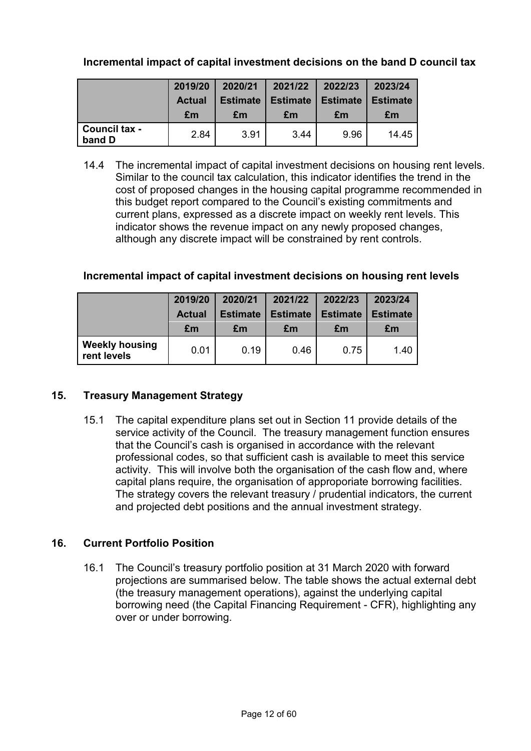# **Incremental impact of capital investment decisions on the band D council tax**

|                         | 2019/20       | 2020/21         | 2021/22         | 2022/23         | 2023/24         |
|-------------------------|---------------|-----------------|-----------------|-----------------|-----------------|
|                         | <b>Actual</b> | <b>Estimate</b> | <b>Estimate</b> | <b>Estimate</b> | <b>Estimate</b> |
|                         | £m            | £m              | £m              | £m              | £m              |
| Council tax -<br>band D | 2.84          | 3.91            | 3.44            | 9.96            | 14.45           |

14.4 The incremental impact of capital investment decisions on housing rent levels. Similar to the council tax calculation, this indicator identifies the trend in the cost of proposed changes in the housing capital programme recommended in this budget report compared to the Council's existing commitments and current plans, expressed as a discrete impact on weekly rent levels. This indicator shows the revenue impact on any newly proposed changes, although any discrete impact will be constrained by rent controls.

## **Incremental impact of capital investment decisions on housing rent levels**

|                                      | 2019/20       | 2020/21         | 2021/22         | 2022/23         | 2023/24         |
|--------------------------------------|---------------|-----------------|-----------------|-----------------|-----------------|
|                                      | <b>Actual</b> | <b>Estimate</b> | <b>Estimate</b> | <b>Estimate</b> | <b>Estimate</b> |
|                                      | £m            | £m              | £m              | £m              | £m              |
| <b>Weekly housing</b><br>rent levels | 0.01          | 0.19            | 0.46            | 0.75            | 1.40            |

### **15. Treasury Management Strategy**

15.1 The capital expenditure plans set out in Section 11 provide details of the service activity of the Council. The treasury management function ensures that the Council's cash is organised in accordance with the relevant professional codes, so that sufficient cash is available to meet this service activity. This will involve both the organisation of the cash flow and, where capital plans require, the organisation of approporiate borrowing facilities. The strategy covers the relevant treasury / prudential indicators, the current and projected debt positions and the annual investment strategy.

### **16. Current Portfolio Position**

16.1 The Council's treasury portfolio position at 31 March 2020 with forward projections are summarised below. The table shows the actual external debt (the treasury management operations), against the underlying capital borrowing need (the Capital Financing Requirement - CFR), highlighting any over or under borrowing.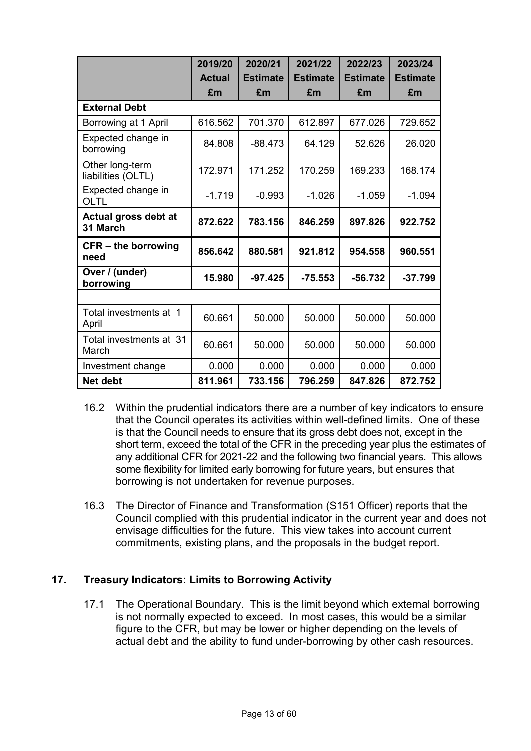|                                       | 2019/20       | 2020/21         | 2021/22         | 2022/23         | 2023/24         |
|---------------------------------------|---------------|-----------------|-----------------|-----------------|-----------------|
|                                       | <b>Actual</b> | <b>Estimate</b> | <b>Estimate</b> | <b>Estimate</b> | <b>Estimate</b> |
|                                       | £m            | £m              | £m              | £m              | £m              |
| <b>External Debt</b>                  |               |                 |                 |                 |                 |
| Borrowing at 1 April                  | 616.562       | 701.370         | 612.897         | 677.026         | 729.652         |
| Expected change in<br>borrowing       | 84.808        | -88.473         | 64.129          | 52.626          | 26.020          |
| Other long-term<br>liabilities (OLTL) | 172.971       | 171.252         | 170.259         | 169.233         | 168.174         |
| Expected change in<br>OLTL            | $-1.719$      | $-0.993$        | $-1.026$        | $-1.059$        | $-1.094$        |
| Actual gross debt at<br>31 March      | 872.622       | 783.156         | 846.259         | 897.826         | 922.752         |
| $CFR -$ the borrowing<br>need         | 856.642       | 880.581         | 921.812         | 954.558         | 960.551         |
| Over / (under)<br>borrowing           | 15.980        | $-97.425$       | $-75.553$       | $-56.732$       | $-37.799$       |
|                                       |               |                 |                 |                 |                 |
| Total investments at 1<br>April       | 60.661        | 50.000          | 50.000          | 50.000          | 50.000          |
| Total investments at 31<br>March      | 60.661        | 50.000          | 50.000          | 50.000          | 50.000          |
| Investment change                     | 0.000         | 0.000           | 0.000           | 0.000           | 0.000           |
| Net debt                              | 811.961       | 733.156         | 796.259         | 847.826         | 872.752         |

- 16.2 Within the prudential indicators there are a number of key indicators to ensure that the Council operates its activities within well-defined limits. One of these is that the Council needs to ensure that its gross debt does not, except in the short term, exceed the total of the CFR in the preceding year plus the estimates of any additional CFR for 2021-22 and the following two financial years. This allows some flexibility for limited early borrowing for future years, but ensures that borrowing is not undertaken for revenue purposes.
- 16.3 The Director of Finance and Transformation (S151 Officer) reports that the Council complied with this prudential indicator in the current year and does not envisage difficulties for the future. This view takes into account current commitments, existing plans, and the proposals in the budget report.

## **17. Treasury Indicators: Limits to Borrowing Activity**

17.1 The Operational Boundary. This is the limit beyond which external borrowing is not normally expected to exceed. In most cases, this would be a similar figure to the CFR, but may be lower or higher depending on the levels of actual debt and the ability to fund under-borrowing by other cash resources.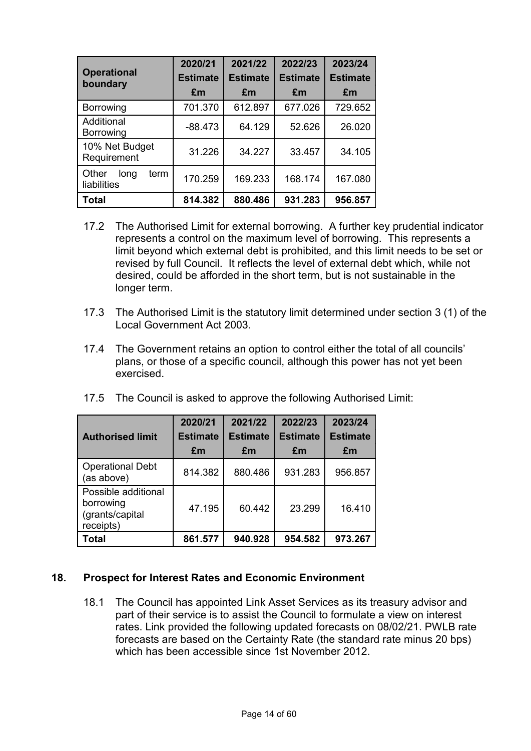| <b>Operational</b><br>boundary       | 2020/21<br><b>Estimate</b><br>£m | 2021/22<br><b>Estimate</b><br>£m | 2022/23<br><b>Estimate</b><br>£m | 2023/24<br><b>Estimate</b><br>£m |
|--------------------------------------|----------------------------------|----------------------------------|----------------------------------|----------------------------------|
| Borrowing                            | 701.370                          | 612.897                          | 677.026                          | 729.652                          |
| Additional<br>Borrowing              | $-88.473$                        | 64.129                           | 52.626                           | 26.020                           |
| 10% Net Budget<br>Requirement        | 31.226                           | 34.227                           | 33.457                           | 34.105                           |
| Other<br>long<br>term<br>liabilities | 170.259                          | 169.233                          | 168.174                          | 167.080                          |
| <b>Total</b>                         | 814.382                          | 880.486                          | 931.283                          | 956.857                          |

- 17.2 The Authorised Limit for external borrowing. A further key prudential indicator represents a control on the maximum level of borrowing. This represents a limit beyond which external debt is prohibited, and this limit needs to be set or revised by full Council. It reflects the level of external debt which, while not desired, could be afforded in the short term, but is not sustainable in the longer term.
- 17.3 The Authorised Limit is the statutory limit determined under section 3 (1) of the Local Government Act 2003.
- 17.4 The Government retains an option to control either the total of all councils' plans, or those of a specific council, although this power has not yet been exercised.

| 17.5 The Council is asked to approve the following Authorised Limit: |  |  |  |  |  |  |  |
|----------------------------------------------------------------------|--|--|--|--|--|--|--|
|----------------------------------------------------------------------|--|--|--|--|--|--|--|

| <b>Authorised limit</b>                                          | 2020/21<br><b>Estimate</b><br>£m | 2021/22<br><b>Estimate</b><br>£m | 2022/23<br><b>Estimate</b><br>£m | 2023/24<br><b>Estimate</b><br>£m |
|------------------------------------------------------------------|----------------------------------|----------------------------------|----------------------------------|----------------------------------|
| <b>Operational Debt</b><br>(as above)                            | 814.382                          | 880.486                          | 931.283                          | 956.857                          |
| Possible additional<br>borrowing<br>(grants/capital<br>receipts) | 47.195                           | 60.442                           | 23.299                           | 16.410                           |
| Total                                                            | 861.577                          | 940.928                          | 954.582                          | 973.267                          |

### **18. Prospect for Interest Rates and Economic Environment**

18.1 The Council has appointed Link Asset Services as its treasury advisor and part of their service is to assist the Council to formulate a view on interest rates. Link provided the following updated forecasts on 08/02/21. PWLB rate forecasts are based on the Certainty Rate (the standard rate minus 20 bps) which has been accessible since 1st November 2012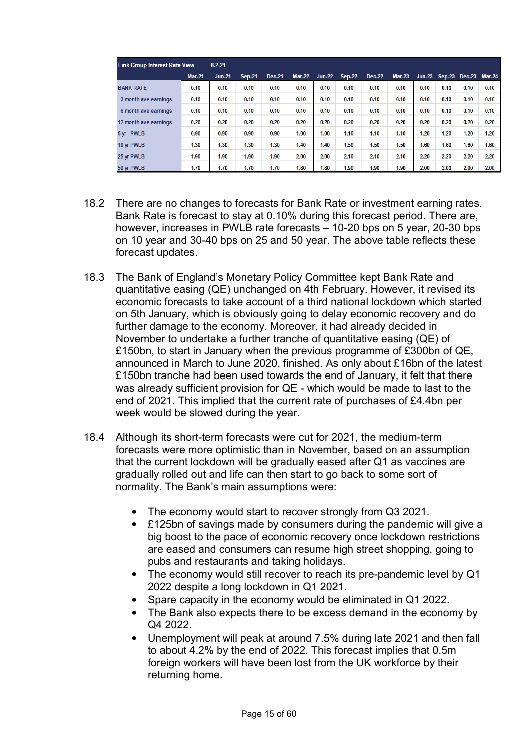| <b>Link Group Interest Rate View</b> |               | 8.2.21        |               |               |               |               |               |               |               |               |      |               |               |
|--------------------------------------|---------------|---------------|---------------|---------------|---------------|---------------|---------------|---------------|---------------|---------------|------|---------------|---------------|
|                                      | <b>Mar-21</b> | <b>Jun-21</b> | <b>Sep-21</b> | <b>Dec-21</b> | <b>Mar-22</b> | <b>Jun-22</b> | <b>Sep-22</b> | <b>Dec-22</b> | <b>Mar-23</b> | <b>Jun-23</b> |      | Sep-23 Dec-23 | <b>Mar-24</b> |
| <b>BANK RATE</b>                     | 0.10          | 0.10          | 0.10          | 0.10          | 0.10          | 0.10          | 0.10          | 0.10          | 0.10          | 0.10          | 0.10 | 0.10          | 0.10          |
| 3 month ave earnings                 | 0.10          | 0.10          | 0.10          | 0.10          | 0.10          | 0.10          | 0.10          | 0.10          | 0.10          | 0.10          | 0.10 | 0.10          | 0.10          |
| 6 month ave earnings                 | 0.10          | 0.10          | 0.10          | 0.10          | 0.10          | 0.10          | 0.10          | 0.10          | 0.10          | 0.10          | 0.10 | 0.10          | 0.10          |
| 12 month ave earnings                | 0.20          | 0.20          | 0.20          | 0.20          | 0.20          | 0.20          | 0.20          | 0.20          | 0.20          | 0.20          | 0.20 | 0.20          | 0.20          |
| 5 yr PWLB                            | 0.90          | 0.90          | 0.90          | 0.90          | 1.00          | 1.00          | 1.10          | 1.10          | 1.10          | 1.20          | 1.20 | 1.20          | 1.20          |
| 10 yr PWLB                           | 1.30          | 1.30          | 1.30          | 1.30          | 1.40          | 1.40          | 1.50          | 1.50          | 1.50          | 1.60          | 1.60 | 1.60          | 1.60          |
| 25 yr PWLB                           | 1.90          | 1.90          | 1.90          | 1.90          | 2.00          | 2.00          | 2.10          | 2.10          | 2.10          | 2.20          | 2.20 | 2.20          | 2.20          |
| 50 yr PWLB                           | 1.70          | 1.70          | 1.70          | 1.70          | 1.80          | 1.80          | 1.90          | 1.90          | 1.90          | 2.00          | 2.00 | 2.00          | 2.00          |

- 18.2 There are no changes to forecasts for Bank Rate or investment earning rates. Bank Rate is forecast to stay at 0.10% during this forecast period. There are, however, increases in PWLB rate forecasts – 10-20 bps on 5 year, 20-30 bps on 10 year and 30-40 bps on 25 and 50 year. The above table reflects these forecast updates.
- 18.3 The Bank of England's Monetary Policy Committee kept Bank Rate and quantitative easing (QE) unchanged on 4th February. However, it revised its economic forecasts to take account of a third national lockdown which started on 5th January, which is obviously going to delay economic recovery and do further damage to the economy. Moreover, it had already decided in November to undertake a further tranche of quantitative easing (QE) of £150bn, to start in January when the previous programme of £300bn of QE, announced in March to June 2020, finished. As only about £16bn of the latest £150bn tranche had been used towards the end of January, it felt that there was already sufficient provision for QE - which would be made to last to the end of 2021. This implied that the current rate of purchases of £4.4bn per week would be slowed during the year.
- 18.4 Although its short-term forecasts were cut for 2021, the medium-term forecasts were more optimistic than in November, based on an assumption that the current lockdown will be gradually eased after Q1 as vaccines are gradually rolled out and life can then start to go back to some sort of normality. The Bank's main assumptions were:
	- The economy would start to recover strongly from Q3 2021.
	- £125bn of savings made by consumers during the pandemic will give a big boost to the pace of economic recovery once lockdown restrictions are eased and consumers can resume high street shopping, going to pubs and restaurants and taking holidays.
	- The economy would still recover to reach its pre-pandemic level by Q1 2022 despite a long lockdown in Q1 2021.
	- Spare capacity in the economy would be eliminated in Q1 2022.
	- The Bank also expects there to be excess demand in the economy by Q4 2022.
	- Unemployment will peak at around 7.5% during late 2021 and then fall to about 4.2% by the end of 2022. This forecast implies that 0.5m foreign workers will have been lost from the UK workforce by their returning home.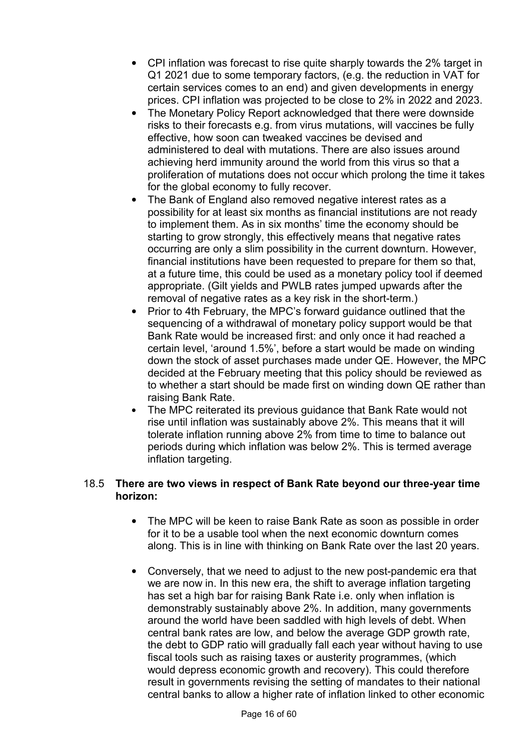- CPI inflation was forecast to rise quite sharply towards the 2% target in Q1 2021 due to some temporary factors, (e.g. the reduction in VAT for certain services comes to an end) and given developments in energy prices. CPI inflation was projected to be close to 2% in 2022 and 2023.
- The Monetary Policy Report acknowledged that there were downside risks to their forecasts e.g. from virus mutations, will vaccines be fully effective, how soon can tweaked vaccines be devised and administered to deal with mutations. There are also issues around achieving herd immunity around the world from this virus so that a proliferation of mutations does not occur which prolong the time it takes for the global economy to fully recover.
- The Bank of England also removed negative interest rates as a possibility for at least six months as financial institutions are not ready to implement them. As in six months' time the economy should be starting to grow strongly, this effectively means that negative rates occurring are only a slim possibility in the current downturn. However, financial institutions have been requested to prepare for them so that, at a future time, this could be used as a monetary policy tool if deemed appropriate. (Gilt yields and PWLB rates jumped upwards after the removal of negative rates as a key risk in the short-term.)
- Prior to 4th February, the MPC's forward guidance outlined that the sequencing of a withdrawal of monetary policy support would be that Bank Rate would be increased first: and only once it had reached a certain level, 'around 1.5%', before a start would be made on winding down the stock of asset purchases made under QE. However, the MPC decided at the February meeting that this policy should be reviewed as to whether a start should be made first on winding down QE rather than raising Bank Rate.
- The MPC reiterated its previous guidance that Bank Rate would not rise until inflation was sustainably above 2%. This means that it will tolerate inflation running above 2% from time to time to balance out periods during which inflation was below 2%. This is termed average inflation targeting.

### 18.5 **There are two views in respect of Bank Rate beyond our three-year time horizon:**

- The MPC will be keen to raise Bank Rate as soon as possible in order for it to be a usable tool when the next economic downturn comes along. This is in line with thinking on Bank Rate over the last 20 years.
- Conversely, that we need to adjust to the new post-pandemic era that we are now in. In this new era, the shift to average inflation targeting has set a high bar for raising Bank Rate i.e. only when inflation is demonstrably sustainably above 2%. In addition, many governments around the world have been saddled with high levels of debt. When central bank rates are low, and below the average GDP growth rate, the debt to GDP ratio will gradually fall each year without having to use fiscal tools such as raising taxes or austerity programmes, (which would depress economic growth and recovery). This could therefore result in governments revising the setting of mandates to their national central banks to allow a higher rate of inflation linked to other economic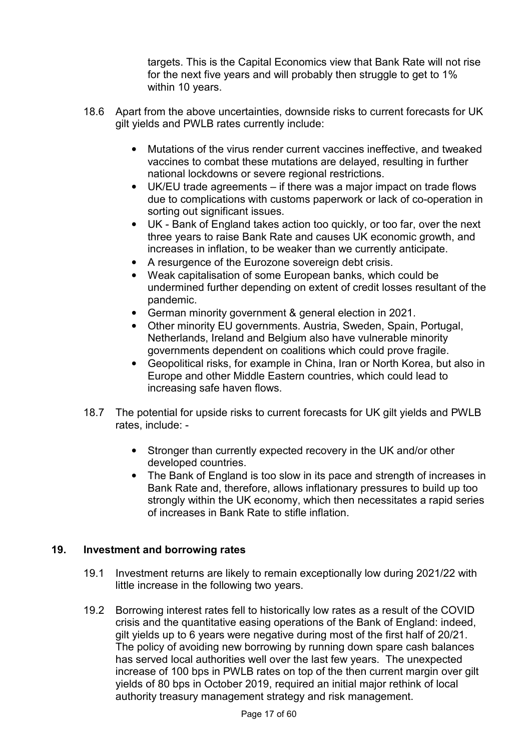targets. This is the Capital Economics view that Bank Rate will not rise for the next five years and will probably then struggle to get to 1% within 10 years.

- 18.6 Apart from the above uncertainties, downside risks to current forecasts for UK gilt yields and PWLB rates currently include:
	- Mutations of the virus render current vaccines ineffective, and tweaked vaccines to combat these mutations are delayed, resulting in further national lockdowns or severe regional restrictions.
	- UK/EU trade agreements if there was a major impact on trade flows due to complications with customs paperwork or lack of co-operation in sorting out significant issues.
	- UK Bank of England takes action too quickly, or too far, over the next three years to raise Bank Rate and causes UK economic growth, and increases in inflation, to be weaker than we currently anticipate.
	- A resurgence of the Eurozone sovereign debt crisis.
	- Weak capitalisation of some European banks, which could be undermined further depending on extent of credit losses resultant of the pandemic.
	- German minority government & general election in 2021.
	- Other minority EU governments. Austria, Sweden, Spain, Portugal, Netherlands, Ireland and Belgium also have vulnerable minority governments dependent on coalitions which could prove fragile.
	- Geopolitical risks, for example in China, Iran or North Korea, but also in Europe and other Middle Eastern countries, which could lead to increasing safe haven flows.
- 18.7 The potential for upside risks to current forecasts for UK gilt yields and PWLB rates, include: -
	- Stronger than currently expected recovery in the UK and/or other developed countries.
	- The Bank of England is too slow in its pace and strength of increases in Bank Rate and, therefore, allows inflationary pressures to build up too strongly within the UK economy, which then necessitates a rapid series of increases in Bank Rate to stifle inflation.

## **19. Investment and borrowing rates**

- 19.1 Investment returns are likely to remain exceptionally low during 2021/22 with little increase in the following two years.
- 19.2 Borrowing interest rates fell to historically low rates as a result of the COVID crisis and the quantitative easing operations of the Bank of England: indeed, gilt yields up to 6 years were negative during most of the first half of 20/21. The policy of avoiding new borrowing by running down spare cash balances has served local authorities well over the last few years. The unexpected increase of 100 bps in PWLB rates on top of the then current margin over gilt yields of 80 bps in October 2019, required an initial major rethink of local authority treasury management strategy and risk management.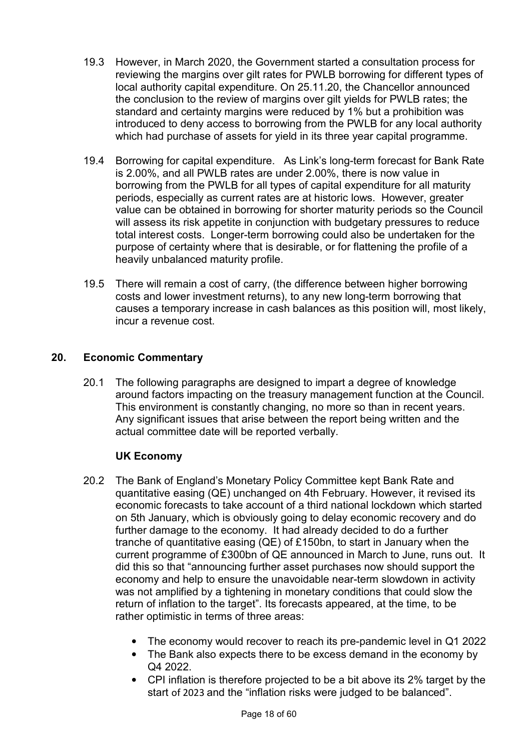- 19.3 However, in March 2020, the Government started a consultation process for reviewing the margins over gilt rates for PWLB borrowing for different types of local authority capital expenditure. On 25.11.20, the Chancellor announced the conclusion to the review of margins over gilt yields for PWLB rates; the standard and certainty margins were reduced by 1% but a prohibition was introduced to deny access to borrowing from the PWLB for any local authority which had purchase of assets for yield in its three year capital programme.
- 19.4 Borrowing for capital expenditure. As Link's long-term forecast for Bank Rate is 2.00%, and all PWLB rates are under 2.00%, there is now value in borrowing from the PWLB for all types of capital expenditure for all maturity periods, especially as current rates are at historic lows. However, greater value can be obtained in borrowing for shorter maturity periods so the Council will assess its risk appetite in conjunction with budgetary pressures to reduce total interest costs. Longer-term borrowing could also be undertaken for the purpose of certainty where that is desirable, or for flattening the profile of a heavily unbalanced maturity profile.
- 19.5 There will remain a cost of carry, (the difference between higher borrowing costs and lower investment returns), to any new long-term borrowing that causes a temporary increase in cash balances as this position will, most likely, incur a revenue cost.

## **20. Economic Commentary**

20.1 The following paragraphs are designed to impart a degree of knowledge around factors impacting on the treasury management function at the Council. This environment is constantly changing, no more so than in recent years. Any significant issues that arise between the report being written and the actual committee date will be reported verbally.

## **UK Economy**

- 20.2 The Bank of England's Monetary Policy Committee kept Bank Rate and quantitative easing (QE) unchanged on 4th February. However, it revised its economic forecasts to take account of a third national lockdown which started on 5th January, which is obviously going to delay economic recovery and do further damage to the economy. It had already decided to do a further tranche of quantitative easing (QE) of £150bn, to start in January when the current programme of £300bn of QE announced in March to June, runs out. It did this so that "announcing further asset purchases now should support the economy and help to ensure the unavoidable near-term slowdown in activity was not amplified by a tightening in monetary conditions that could slow the return of inflation to the target". Its forecasts appeared, at the time, to be rather optimistic in terms of three areas:
	- The economy would recover to reach its pre-pandemic level in Q1 2022
	- The Bank also expects there to be excess demand in the economy by Q4 2022.
	- CPI inflation is therefore projected to be a bit above its 2% target by the start of 2023 and the "inflation risks were judged to be balanced".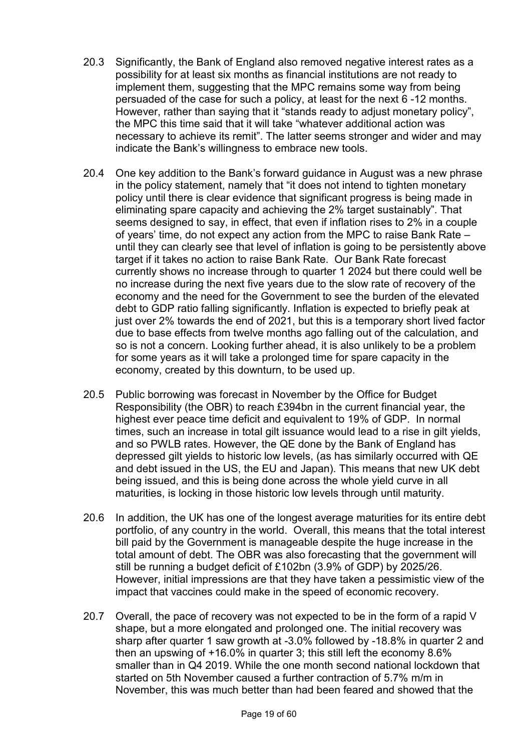- 20.3 Significantly, the Bank of England also removed negative interest rates as a possibility for at least six months as financial institutions are not ready to implement them, suggesting that the MPC remains some way from being persuaded of the case for such a policy, at least for the next 6 -12 months. However, rather than saying that it "stands ready to adjust monetary policy", the MPC this time said that it will take "whatever additional action was necessary to achieve its remit". The latter seems stronger and wider and may indicate the Bank's willingness to embrace new tools.
- 20.4 One key addition to the Bank's forward guidance in August was a new phrase in the policy statement, namely that "it does not intend to tighten monetary policy until there is clear evidence that significant progress is being made in eliminating spare capacity and achieving the 2% target sustainably". That seems designed to say, in effect, that even if inflation rises to 2% in a couple of years' time, do not expect any action from the MPC to raise Bank Rate – until they can clearly see that level of inflation is going to be persistently above target if it takes no action to raise Bank Rate. Our Bank Rate forecast currently shows no increase through to quarter 1 2024 but there could well be no increase during the next five years due to the slow rate of recovery of the economy and the need for the Government to see the burden of the elevated debt to GDP ratio falling significantly. Inflation is expected to briefly peak at just over 2% towards the end of 2021, but this is a temporary short lived factor due to base effects from twelve months ago falling out of the calculation, and so is not a concern. Looking further ahead, it is also unlikely to be a problem for some years as it will take a prolonged time for spare capacity in the economy, created by this downturn, to be used up.
- 20.5 Public borrowing was forecast in November by the Office for Budget Responsibility (the OBR) to reach £394bn in the current financial year, the highest ever peace time deficit and equivalent to 19% of GDP. In normal times, such an increase in total gilt issuance would lead to a rise in gilt yields, and so PWLB rates. However, the QE done by the Bank of England has depressed gilt yields to historic low levels, (as has similarly occurred with QE and debt issued in the US, the EU and Japan). This means that new UK debt being issued, and this is being done across the whole yield curve in all maturities, is locking in those historic low levels through until maturity.
- 20.6 In addition, the UK has one of the longest average maturities for its entire debt portfolio, of any country in the world. Overall, this means that the total interest bill paid by the Government is manageable despite the huge increase in the total amount of debt. The OBR was also forecasting that the government will still be running a budget deficit of £102bn (3.9% of GDP) by 2025/26. However, initial impressions are that they have taken a pessimistic view of the impact that vaccines could make in the speed of economic recovery.
- 20.7 Overall, the pace of recovery was not expected to be in the form of a rapid V shape, but a more elongated and prolonged one. The initial recovery was sharp after quarter 1 saw growth at -3.0% followed by -18.8% in quarter 2 and then an upswing of +16.0% in quarter 3; this still left the economy 8.6% smaller than in Q4 2019. While the one month second national lockdown that started on 5th November caused a further contraction of 5.7% m/m in November, this was much better than had been feared and showed that the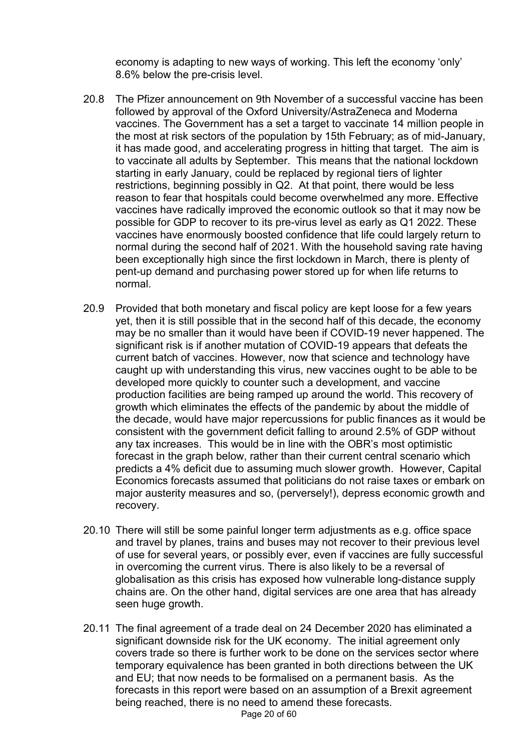economy is adapting to new ways of working. This left the economy 'only' 8.6% below the pre-crisis level.

- 20.8 The Pfizer announcement on 9th November of a successful vaccine has been followed by approval of the Oxford University/AstraZeneca and Moderna vaccines. The Government has a set a target to vaccinate 14 million people in the most at risk sectors of the population by 15th February; as of mid-January, it has made good, and accelerating progress in hitting that target. The aim is to vaccinate all adults by September. This means that the national lockdown starting in early January, could be replaced by regional tiers of lighter restrictions, beginning possibly in Q2. At that point, there would be less reason to fear that hospitals could become overwhelmed any more. Effective vaccines have radically improved the economic outlook so that it may now be possible for GDP to recover to its pre-virus level as early as Q1 2022. These vaccines have enormously boosted confidence that life could largely return to normal during the second half of 2021. With the household saving rate having been exceptionally high since the first lockdown in March, there is plenty of pent-up demand and purchasing power stored up for when life returns to normal.
- 20.9 Provided that both monetary and fiscal policy are kept loose for a few years yet, then it is still possible that in the second half of this decade, the economy may be no smaller than it would have been if COVID-19 never happened. The significant risk is if another mutation of COVID-19 appears that defeats the current batch of vaccines. However, now that science and technology have caught up with understanding this virus, new vaccines ought to be able to be developed more quickly to counter such a development, and vaccine production facilities are being ramped up around the world. This recovery of growth which eliminates the effects of the pandemic by about the middle of the decade, would have major repercussions for public finances as it would be consistent with the government deficit falling to around 2.5% of GDP without any tax increases. This would be in line with the OBR's most optimistic forecast in the graph below, rather than their current central scenario which predicts a 4% deficit due to assuming much slower growth. However, Capital Economics forecasts assumed that politicians do not raise taxes or embark on major austerity measures and so, (perversely!), depress economic growth and recovery.
- 20.10 There will still be some painful longer term adjustments as e.g. office space and travel by planes, trains and buses may not recover to their previous level of use for several years, or possibly ever, even if vaccines are fully successful in overcoming the current virus. There is also likely to be a reversal of globalisation as this crisis has exposed how vulnerable long-distance supply chains are. On the other hand, digital services are one area that has already seen huge growth.
- 20.11 The final agreement of a trade deal on 24 December 2020 has eliminated a significant downside risk for the UK economy. The initial agreement only covers trade so there is further work to be done on the services sector where temporary equivalence has been granted in both directions between the UK and EU; that now needs to be formalised on a permanent basis. As the forecasts in this report were based on an assumption of a Brexit agreement being reached, there is no need to amend these forecasts.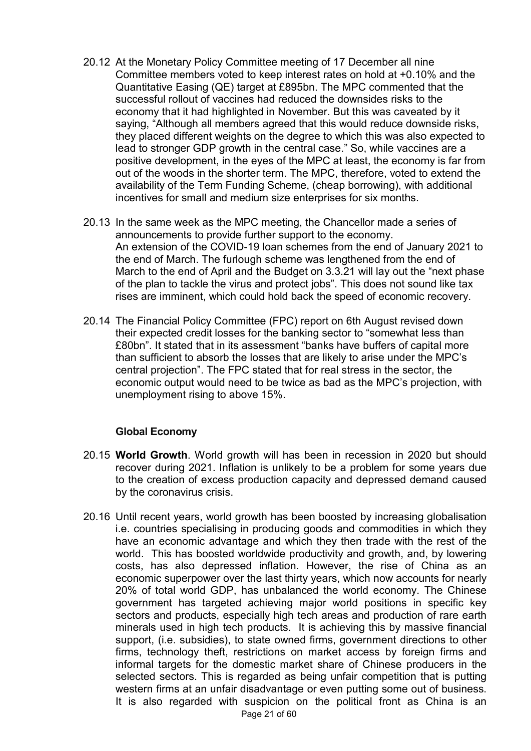- 20.12 At the Monetary Policy Committee meeting of 17 December all nine Committee members voted to keep interest rates on hold at +0.10% and the Quantitative Easing (QE) target at £895bn. The MPC commented that the successful rollout of vaccines had reduced the downsides risks to the economy that it had highlighted in November. But this was caveated by it saying, "Although all members agreed that this would reduce downside risks, they placed different weights on the degree to which this was also expected to lead to stronger GDP growth in the central case." So, while vaccines are a positive development, in the eyes of the MPC at least, the economy is far from out of the woods in the shorter term. The MPC, therefore, voted to extend the availability of the Term Funding Scheme, (cheap borrowing), with additional incentives for small and medium size enterprises for six months.
- 20.13 In the same week as the MPC meeting, the Chancellor made a series of announcements to provide further support to the economy. An extension of the COVID-19 loan schemes from the end of January 2021 to the end of March. The furlough scheme was lengthened from the end of March to the end of April and the Budget on 3.3.21 will lay out the "next phase of the plan to tackle the virus and protect jobs". This does not sound like tax rises are imminent, which could hold back the speed of economic recovery.
- 20.14 The Financial Policy Committee (FPC) report on 6th August revised down their expected credit losses for the banking sector to "somewhat less than £80bn". It stated that in its assessment "banks have buffers of capital more than sufficient to absorb the losses that are likely to arise under the MPC's central projection". The FPC stated that for real stress in the sector, the economic output would need to be twice as bad as the MPC's projection, with unemployment rising to above 15%.

### **Global Economy**

- 20.15 **World Growth**. World growth will has been in recession in 2020 but should recover during 2021. Inflation is unlikely to be a problem for some years due to the creation of excess production capacity and depressed demand caused by the coronavirus crisis.
- 20.16 Until recent years, world growth has been boosted by increasing globalisation i.e. countries specialising in producing goods and commodities in which they have an economic advantage and which they then trade with the rest of the world. This has boosted worldwide productivity and growth, and, by lowering costs, has also depressed inflation. However, the rise of China as an economic superpower over the last thirty years, which now accounts for nearly 20% of total world GDP, has unbalanced the world economy. The Chinese government has targeted achieving major world positions in specific key sectors and products, especially high tech areas and production of rare earth minerals used in high tech products. It is achieving this by massive financial support, (i.e. subsidies), to state owned firms, government directions to other firms, technology theft, restrictions on market access by foreign firms and informal targets for the domestic market share of Chinese producers in the selected sectors. This is regarded as being unfair competition that is putting western firms at an unfair disadvantage or even putting some out of business. It is also regarded with suspicion on the political front as China is an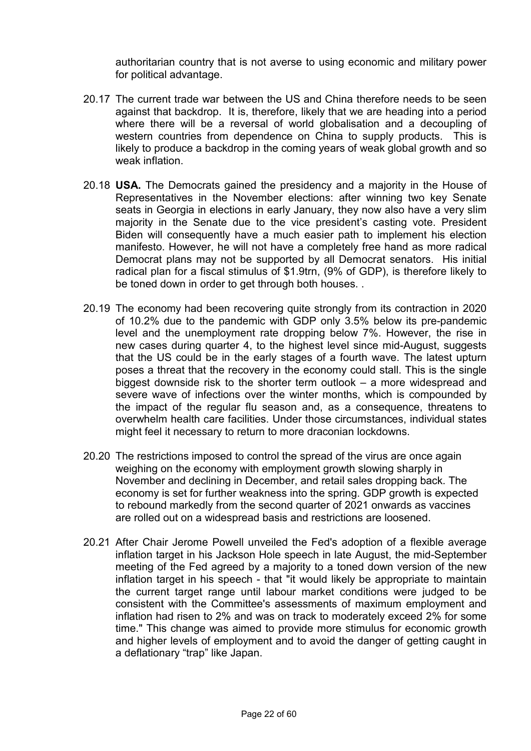authoritarian country that is not averse to using economic and military power for political advantage.

- 20.17 The current trade war between the US and China therefore needs to be seen against that backdrop. It is, therefore, likely that we are heading into a period where there will be a reversal of world globalisation and a decoupling of western countries from dependence on China to supply products. This is likely to produce a backdrop in the coming years of weak global growth and so weak inflation
- 20.18 **USA.** The Democrats gained the presidency and a majority in the House of Representatives in the November elections: after winning two key Senate seats in Georgia in elections in early January, they now also have a very slim majority in the Senate due to the vice president's casting vote. President Biden will consequently have a much easier path to implement his election manifesto. However, he will not have a completely free hand as more radical Democrat plans may not be supported by all Democrat senators. His initial radical plan for a fiscal stimulus of \$1.9trn, (9% of GDP), is therefore likely to be toned down in order to get through both houses. .
- 20.19 The economy had been recovering quite strongly from its contraction in 2020 of 10.2% due to the pandemic with GDP only 3.5% below its pre-pandemic level and the unemployment rate dropping below 7%. However, the rise in new cases during quarter 4, to the highest level since mid-August, suggests that the US could be in the early stages of a fourth wave. The latest upturn poses a threat that the recovery in the economy could stall. This is the single biggest downside risk to the shorter term outlook – a more widespread and severe wave of infections over the winter months, which is compounded by the impact of the regular flu season and, as a consequence, threatens to overwhelm health care facilities. Under those circumstances, individual states might feel it necessary to return to more draconian lockdowns.
- 20.20 The restrictions imposed to control the spread of the virus are once again weighing on the economy with employment growth slowing sharply in November and declining in December, and retail sales dropping back. The economy is set for further weakness into the spring. GDP growth is expected to rebound markedly from the second quarter of 2021 onwards as vaccines are rolled out on a widespread basis and restrictions are loosened.
- 20.21 After Chair Jerome Powell unveiled the Fed's adoption of a flexible average inflation target in his Jackson Hole speech in late August, the mid-September meeting of the Fed agreed by a majority to a toned down version of the new inflation target in his speech - that "it would likely be appropriate to maintain the current target range until labour market conditions were judged to be consistent with the Committee's assessments of maximum employment and inflation had risen to 2% and was on track to moderately exceed 2% for some time." This change was aimed to provide more stimulus for economic growth and higher levels of employment and to avoid the danger of getting caught in a deflationary "trap" like Japan.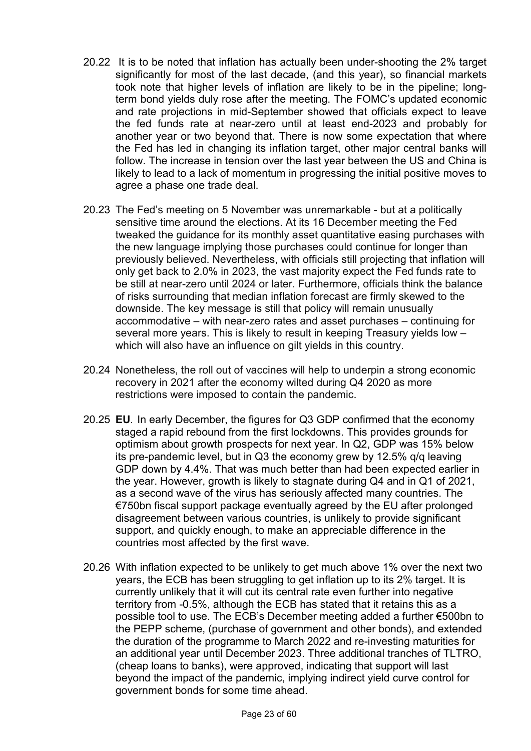- 20.22 It is to be noted that inflation has actually been under-shooting the 2% target significantly for most of the last decade, (and this year), so financial markets took note that higher levels of inflation are likely to be in the pipeline; longterm bond yields duly rose after the meeting. The FOMC's updated economic and rate projections in mid-September showed that officials expect to leave the fed funds rate at near-zero until at least end-2023 and probably for another year or two beyond that. There is now some expectation that where the Fed has led in changing its inflation target, other major central banks will follow. The increase in tension over the last year between the US and China is likely to lead to a lack of momentum in progressing the initial positive moves to agree a phase one trade deal.
- 20.23 The Fed's meeting on 5 November was unremarkable but at a politically sensitive time around the elections. At its 16 December meeting the Fed tweaked the guidance for its monthly asset quantitative easing purchases with the new language implying those purchases could continue for longer than previously believed. Nevertheless, with officials still projecting that inflation will only get back to 2.0% in 2023, the vast majority expect the Fed funds rate to be still at near-zero until 2024 or later. Furthermore, officials think the balance of risks surrounding that median inflation forecast are firmly skewed to the downside. The key message is still that policy will remain unusually accommodative – with near-zero rates and asset purchases – continuing for several more years. This is likely to result in keeping Treasury yields low – which will also have an influence on gilt yields in this country.
- 20.24 Nonetheless, the roll out of vaccines will help to underpin a strong economic recovery in 2021 after the economy wilted during Q4 2020 as more restrictions were imposed to contain the pandemic.
- 20.25 **EU**. In early December, the figures for Q3 GDP confirmed that the economy staged a rapid rebound from the first lockdowns. This provides grounds for optimism about growth prospects for next year. In Q2, GDP was 15% below its pre-pandemic level, but in Q3 the economy grew by 12.5% q/q leaving GDP down by 4.4%. That was much better than had been expected earlier in the year. However, growth is likely to stagnate during Q4 and in Q1 of 2021, as a second wave of the virus has seriously affected many countries. The €750bn fiscal support package eventually agreed by the EU after prolonged disagreement between various countries, is unlikely to provide significant support, and quickly enough, to make an appreciable difference in the countries most affected by the first wave.
- 20.26 With inflation expected to be unlikely to get much above 1% over the next two years, the ECB has been struggling to get inflation up to its 2% target. It is currently unlikely that it will cut its central rate even further into negative territory from -0.5%, although the ECB has stated that it retains this as a possible tool to use. The ECB's December meeting added a further €500bn to the PEPP scheme, (purchase of government and other bonds), and extended the duration of the programme to March 2022 and re-investing maturities for an additional year until December 2023. Three additional tranches of TLTRO, (cheap loans to banks), were approved, indicating that support will last beyond the impact of the pandemic, implying indirect yield curve control for government bonds for some time ahead.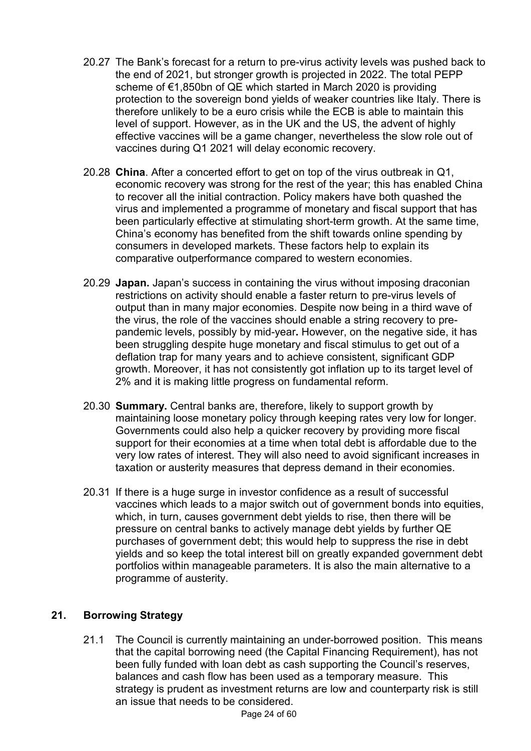- 20.27 The Bank's forecast for a return to pre-virus activity levels was pushed back to the end of 2021, but stronger growth is projected in 2022. The total PEPP scheme of €1,850bn of QE which started in March 2020 is providing protection to the sovereign bond yields of weaker countries like Italy. There is therefore unlikely to be a euro crisis while the ECB is able to maintain this level of support. However, as in the UK and the US, the advent of highly effective vaccines will be a game changer, nevertheless the slow role out of vaccines during Q1 2021 will delay economic recovery.
- 20.28 **China**. After a concerted effort to get on top of the virus outbreak in Q1, economic recovery was strong for the rest of the year; this has enabled China to recover all the initial contraction. Policy makers have both quashed the virus and implemented a programme of monetary and fiscal support that has been particularly effective at stimulating short-term growth. At the same time, China's economy has benefited from the shift towards online spending by consumers in developed markets. These factors help to explain its comparative outperformance compared to western economies.
- 20.29 **Japan.** Japan's success in containing the virus without imposing draconian restrictions on activity should enable a faster return to pre-virus levels of output than in many major economies. Despite now being in a third wave of the virus, the role of the vaccines should enable a string recovery to prepandemic levels, possibly by mid-year**.** However, on the negative side, it has been struggling despite huge monetary and fiscal stimulus to get out of a deflation trap for many years and to achieve consistent, significant GDP growth. Moreover, it has not consistently got inflation up to its target level of 2% and it is making little progress on fundamental reform.
- 20.30 **Summary.** Central banks are, therefore, likely to support growth by maintaining loose monetary policy through keeping rates very low for longer. Governments could also help a quicker recovery by providing more fiscal support for their economies at a time when total debt is affordable due to the very low rates of interest. They will also need to avoid significant increases in taxation or austerity measures that depress demand in their economies.
- 20.31 If there is a huge surge in investor confidence as a result of successful vaccines which leads to a major switch out of government bonds into equities, which, in turn, causes government debt yields to rise, then there will be pressure on central banks to actively manage debt yields by further QE purchases of government debt; this would help to suppress the rise in debt yields and so keep the total interest bill on greatly expanded government debt portfolios within manageable parameters. It is also the main alternative to a programme of austerity.

# **21. Borrowing Strategy**

21.1 The Council is currently maintaining an under-borrowed position. This means that the capital borrowing need (the Capital Financing Requirement), has not been fully funded with loan debt as cash supporting the Council's reserves, balances and cash flow has been used as a temporary measure. This strategy is prudent as investment returns are low and counterparty risk is still an issue that needs to be considered.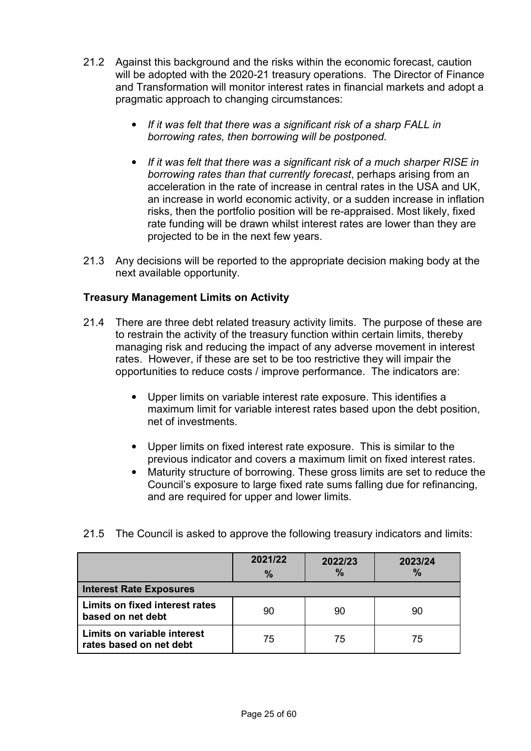- 21.2 Against this background and the risks within the economic forecast, caution will be adopted with the 2020-21 treasury operations. The Director of Finance and Transformation will monitor interest rates in financial markets and adopt a pragmatic approach to changing circumstances:
	- *If it was felt that there was a significant risk of a sharp FALL in borrowing rates, then borrowing will be postponed.*
	- *If it was felt that there was a significant risk of a much sharper RISE in borrowing rates than that currently forecast*, perhaps arising from an acceleration in the rate of increase in central rates in the USA and UK, an increase in world economic activity, or a sudden increase in inflation risks, then the portfolio position will be re-appraised. Most likely, fixed rate funding will be drawn whilst interest rates are lower than they are projected to be in the next few years.
- 21.3 Any decisions will be reported to the appropriate decision making body at the next available opportunity.

## **Treasury Management Limits on Activity**

- 21.4 There are three debt related treasury activity limits. The purpose of these are to restrain the activity of the treasury function within certain limits, thereby managing risk and reducing the impact of any adverse movement in interest rates. However, if these are set to be too restrictive they will impair the opportunities to reduce costs / improve performance. The indicators are:
	- Upper limits on variable interest rate exposure. This identifies a maximum limit for variable interest rates based upon the debt position, net of investments.
	- Upper limits on fixed interest rate exposure. This is similar to the previous indicator and covers a maximum limit on fixed interest rates.
	- Maturity structure of borrowing. These gross limits are set to reduce the Council's exposure to large fixed rate sums falling due for refinancing, and are required for upper and lower limits.

|  |  |  |  | 21.5 The Council is asked to approve the following treasury indicators and limits: |
|--|--|--|--|------------------------------------------------------------------------------------|
|--|--|--|--|------------------------------------------------------------------------------------|

|                                                            | 2021/22<br>$\%$ | 2022/23<br>$\%$ | 2023/24<br>$\frac{9}{6}$ |
|------------------------------------------------------------|-----------------|-----------------|--------------------------|
| <b>Interest Rate Exposures</b>                             |                 |                 |                          |
| <b>Limits on fixed interest rates</b><br>based on net debt | 90              | 90              | 90                       |
| Limits on variable interest<br>rates based on net debt     | 75              | 75              | 75                       |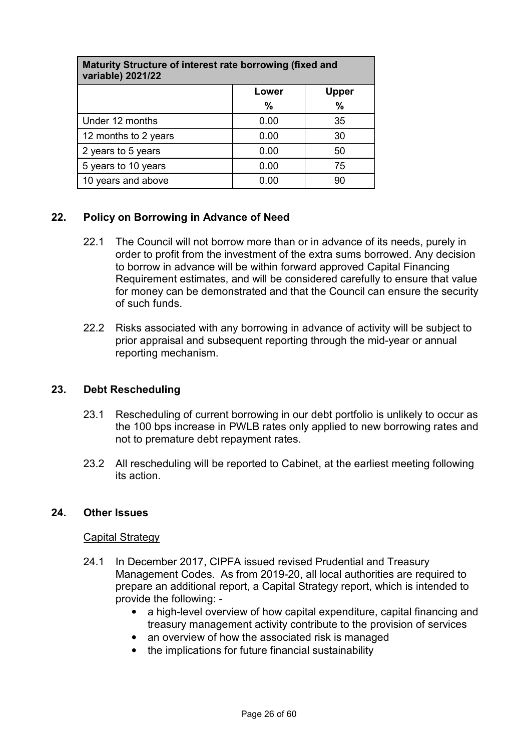| Maturity Structure of interest rate borrowing (fixed and<br>variable) 2021/22 |      |               |  |  |  |
|-------------------------------------------------------------------------------|------|---------------|--|--|--|
| <b>Upper</b><br>Lower                                                         |      |               |  |  |  |
|                                                                               | %    | $\frac{0}{0}$ |  |  |  |
| Under 12 months                                                               | 0.00 | 35            |  |  |  |
| 12 months to 2 years                                                          | 0.00 | 30            |  |  |  |
| 2 years to 5 years                                                            | 0.00 | 50            |  |  |  |
| 5 years to 10 years                                                           | 0.00 | 75            |  |  |  |
| 10 years and above                                                            | 0.00 | 90            |  |  |  |

## **22. Policy on Borrowing in Advance of Need**

- 22.1 The Council will not borrow more than or in advance of its needs, purely in order to profit from the investment of the extra sums borrowed. Any decision to borrow in advance will be within forward approved Capital Financing Requirement estimates, and will be considered carefully to ensure that value for money can be demonstrated and that the Council can ensure the security of such funds.
- 22.2 Risks associated with any borrowing in advance of activity will be subject to prior appraisal and subsequent reporting through the mid-year or annual reporting mechanism.

## **23. Debt Rescheduling**

- 23.1 Rescheduling of current borrowing in our debt portfolio is unlikely to occur as the 100 bps increase in PWLB rates only applied to new borrowing rates and not to premature debt repayment rates.
- 23.2 All rescheduling will be reported to Cabinet, at the earliest meeting following its action.

### **24. Other Issues**

### Capital Strategy

- 24.1 In December 2017, CIPFA issued revised Prudential and Treasury Management Codes. As from 2019-20, all local authorities are required to prepare an additional report, a Capital Strategy report, which is intended to provide the following: -
	- a high-level overview of how capital expenditure, capital financing and treasury management activity contribute to the provision of services
	- an overview of how the associated risk is managed
	- the implications for future financial sustainability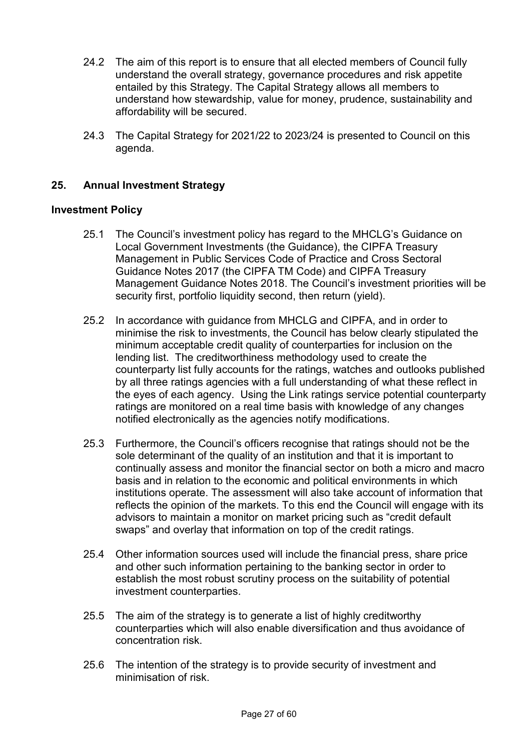- 24.2 The aim of this report is to ensure that all elected members of Council fully understand the overall strategy, governance procedures and risk appetite entailed by this Strategy. The Capital Strategy allows all members to understand how stewardship, value for money, prudence, sustainability and affordability will be secured.
- 24.3 The Capital Strategy for 2021/22 to 2023/24 is presented to Council on this agenda.

## **25. Annual Investment Strategy**

#### **Investment Policy**

- 25.1 The Council's investment policy has regard to the MHCLG's Guidance on Local Government Investments (the Guidance), the CIPFA Treasury Management in Public Services Code of Practice and Cross Sectoral Guidance Notes 2017 (the CIPFA TM Code) and CIPFA Treasury Management Guidance Notes 2018. The Council's investment priorities will be security first, portfolio liquidity second, then return (yield).
- 25.2 In accordance with guidance from MHCLG and CIPFA, and in order to minimise the risk to investments, the Council has below clearly stipulated the minimum acceptable credit quality of counterparties for inclusion on the lending list. The creditworthiness methodology used to create the counterparty list fully accounts for the ratings, watches and outlooks published by all three ratings agencies with a full understanding of what these reflect in the eyes of each agency. Using the Link ratings service potential counterparty ratings are monitored on a real time basis with knowledge of any changes notified electronically as the agencies notify modifications.
- 25.3 Furthermore, the Council's officers recognise that ratings should not be the sole determinant of the quality of an institution and that it is important to continually assess and monitor the financial sector on both a micro and macro basis and in relation to the economic and political environments in which institutions operate. The assessment will also take account of information that reflects the opinion of the markets. To this end the Council will engage with its advisors to maintain a monitor on market pricing such as "credit default swaps" and overlay that information on top of the credit ratings.
- 25.4 Other information sources used will include the financial press, share price and other such information pertaining to the banking sector in order to establish the most robust scrutiny process on the suitability of potential investment counterparties.
- 25.5 The aim of the strategy is to generate a list of highly creditworthy counterparties which will also enable diversification and thus avoidance of concentration risk.
- 25.6 The intention of the strategy is to provide security of investment and minimisation of risk.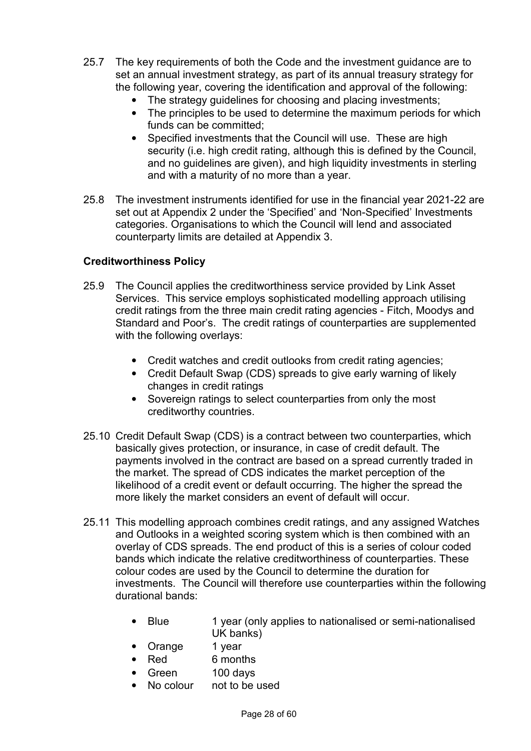- 25.7 The key requirements of both the Code and the investment guidance are to set an annual investment strategy, as part of its annual treasury strategy for the following year, covering the identification and approval of the following:
	- The strategy guidelines for choosing and placing investments;
	- The principles to be used to determine the maximum periods for which funds can be committed;
	- Specified investments that the Council will use. These are high security (i.e. high credit rating, although this is defined by the Council, and no guidelines are given), and high liquidity investments in sterling and with a maturity of no more than a year.
- 25.8 The investment instruments identified for use in the financial year 2021-22 are set out at Appendix 2 under the 'Specified' and 'Non-Specified' Investments categories. Organisations to which the Council will lend and associated counterparty limits are detailed at Appendix 3.

## **Creditworthiness Policy**

- 25.9 The Council applies the creditworthiness service provided by Link Asset Services. This service employs sophisticated modelling approach utilising credit ratings from the three main credit rating agencies - Fitch, Moodys and Standard and Poor's. The credit ratings of counterparties are supplemented with the following overlays:
	- Credit watches and credit outlooks from credit rating agencies;
	- Credit Default Swap (CDS) spreads to give early warning of likely changes in credit ratings
	- Sovereign ratings to select counterparties from only the most creditworthy countries.
- 25.10 Credit Default Swap (CDS) is a contract between two counterparties, which basically gives protection, or insurance, in case of credit default. The payments involved in the contract are based on a spread currently traded in the market. The spread of CDS indicates the market perception of the likelihood of a credit event or default occurring. The higher the spread the more likely the market considers an event of default will occur.
- 25.11 This modelling approach combines credit ratings, and any assigned Watches and Outlooks in a weighted scoring system which is then combined with an overlay of CDS spreads. The end product of this is a series of colour coded bands which indicate the relative creditworthiness of counterparties. These colour codes are used by the Council to determine the duration for investments. The Council will therefore use counterparties within the following durational bands:
	- Blue 1 year (only applies to nationalised or semi-nationalised UK banks)
	- Orange 1 year
	- Red 6 months
	- Green 100 days
	- No colour not to be used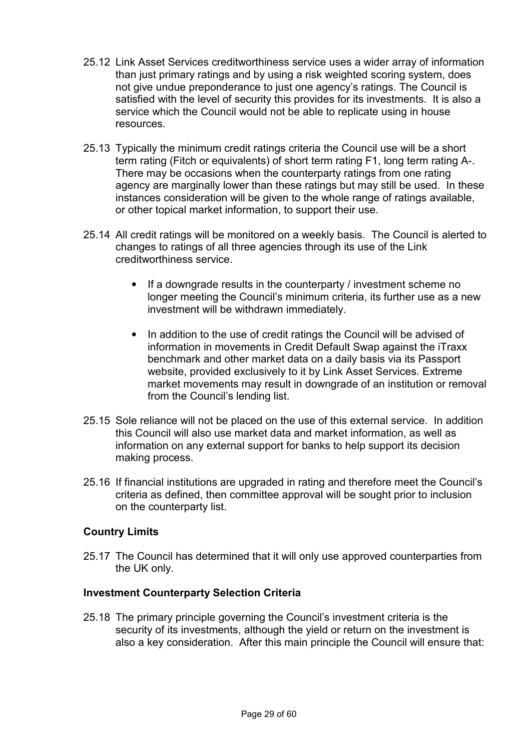- 25.12 Link Asset Services creditworthiness service uses a wider array of information than just primary ratings and by using a risk weighted scoring system, does not give undue preponderance to just one agency's ratings. The Council is satisfied with the level of security this provides for its investments. It is also a service which the Council would not be able to replicate using in house resources.
- 25.13 Typically the minimum credit ratings criteria the Council use will be a short term rating (Fitch or equivalents) of short term rating F1, long term rating A-. There may be occasions when the counterparty ratings from one rating agency are marginally lower than these ratings but may still be used. In these instances consideration will be given to the whole range of ratings available, or other topical market information, to support their use.
- 25.14 All credit ratings will be monitored on a weekly basis. The Council is alerted to changes to ratings of all three agencies through its use of the Link creditworthiness service.
	- If a downgrade results in the counterparty / investment scheme no longer meeting the Council's minimum criteria, its further use as a new investment will be withdrawn immediately.
	- In addition to the use of credit ratings the Council will be advised of information in movements in Credit Default Swap against the iTraxx benchmark and other market data on a daily basis via its Passport website, provided exclusively to it by Link Asset Services. Extreme market movements may result in downgrade of an institution or removal from the Council's lending list.
- 25.15 Sole reliance will not be placed on the use of this external service. In addition this Council will also use market data and market information, as well as information on any external support for banks to help support its decision making process.
- 25.16 If financial institutions are upgraded in rating and therefore meet the Council's criteria as defined, then committee approval will be sought prior to inclusion on the counterparty list.

## **Country Limits**

25.17 The Council has determined that it will only use approved counterparties from the UK only.

### **Investment Counterparty Selection Criteria**

25.18 The primary principle governing the Council's investment criteria is the security of its investments, although the yield or return on the investment is also a key consideration. After this main principle the Council will ensure that: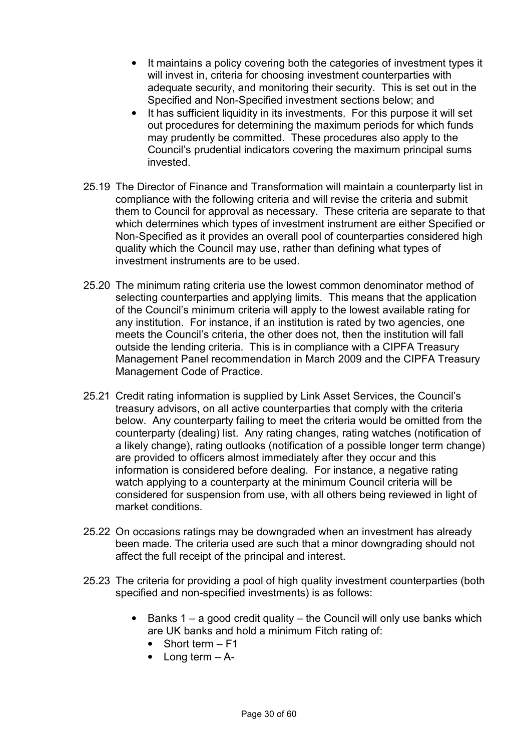- It maintains a policy covering both the categories of investment types it will invest in, criteria for choosing investment counterparties with adequate security, and monitoring their security. This is set out in the Specified and Non-Specified investment sections below; and
- It has sufficient liquidity in its investments. For this purpose it will set out procedures for determining the maximum periods for which funds may prudently be committed. These procedures also apply to the Council's prudential indicators covering the maximum principal sums invested.
- 25.19 The Director of Finance and Transformation will maintain a counterparty list in compliance with the following criteria and will revise the criteria and submit them to Council for approval as necessary. These criteria are separate to that which determines which types of investment instrument are either Specified or Non-Specified as it provides an overall pool of counterparties considered high quality which the Council may use, rather than defining what types of investment instruments are to be used.
- 25.20 The minimum rating criteria use the lowest common denominator method of selecting counterparties and applying limits. This means that the application of the Council's minimum criteria will apply to the lowest available rating for any institution. For instance, if an institution is rated by two agencies, one meets the Council's criteria, the other does not, then the institution will fall outside the lending criteria. This is in compliance with a CIPFA Treasury Management Panel recommendation in March 2009 and the CIPFA Treasury Management Code of Practice.
- 25.21 Credit rating information is supplied by Link Asset Services, the Council's treasury advisors, on all active counterparties that comply with the criteria below. Any counterparty failing to meet the criteria would be omitted from the counterparty (dealing) list. Any rating changes, rating watches (notification of a likely change), rating outlooks (notification of a possible longer term change) are provided to officers almost immediately after they occur and this information is considered before dealing. For instance, a negative rating watch applying to a counterparty at the minimum Council criteria will be considered for suspension from use, with all others being reviewed in light of market conditions.
- 25.22 On occasions ratings may be downgraded when an investment has already been made. The criteria used are such that a minor downgrading should not affect the full receipt of the principal and interest.
- 25.23 The criteria for providing a pool of high quality investment counterparties (both specified and non-specified investments) is as follows:
	- Banks  $1 a$  good credit quality the Council will only use banks which are UK banks and hold a minimum Fitch rating of:
		- Short term F1
		- Long term  $A$ -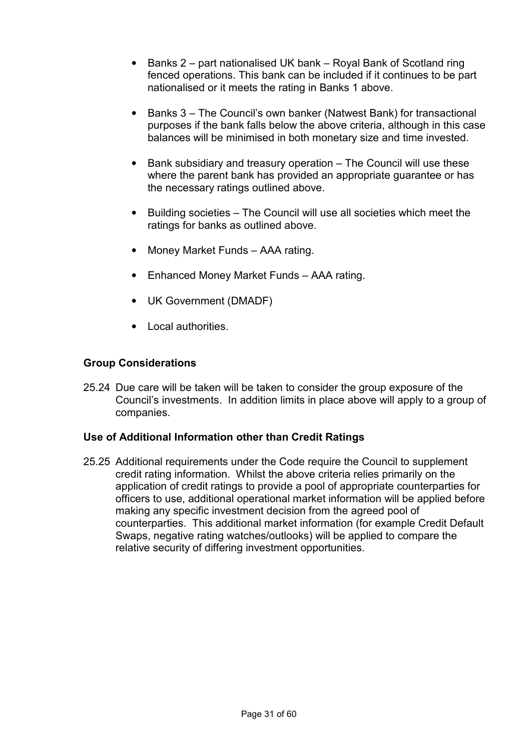- Banks 2 part nationalised UK bank Royal Bank of Scotland ring fenced operations. This bank can be included if it continues to be part nationalised or it meets the rating in Banks 1 above.
- Banks 3 The Council's own banker (Natwest Bank) for transactional purposes if the bank falls below the above criteria, although in this case balances will be minimised in both monetary size and time invested.
- Bank subsidiary and treasury operation The Council will use these where the parent bank has provided an appropriate guarantee or has the necessary ratings outlined above.
- Building societies The Council will use all societies which meet the ratings for banks as outlined above.
- Money Market Funds AAA rating.
- Enhanced Money Market Funds AAA rating.
- UK Government (DMADF)
- Local authorities.

### **Group Considerations**

25.24 Due care will be taken will be taken to consider the group exposure of the Council's investments. In addition limits in place above will apply to a group of companies.

### **Use of Additional Information other than Credit Ratings**

25.25 Additional requirements under the Code require the Council to supplement credit rating information. Whilst the above criteria relies primarily on the application of credit ratings to provide a pool of appropriate counterparties for officers to use, additional operational market information will be applied before making any specific investment decision from the agreed pool of counterparties. This additional market information (for example Credit Default Swaps, negative rating watches/outlooks) will be applied to compare the relative security of differing investment opportunities.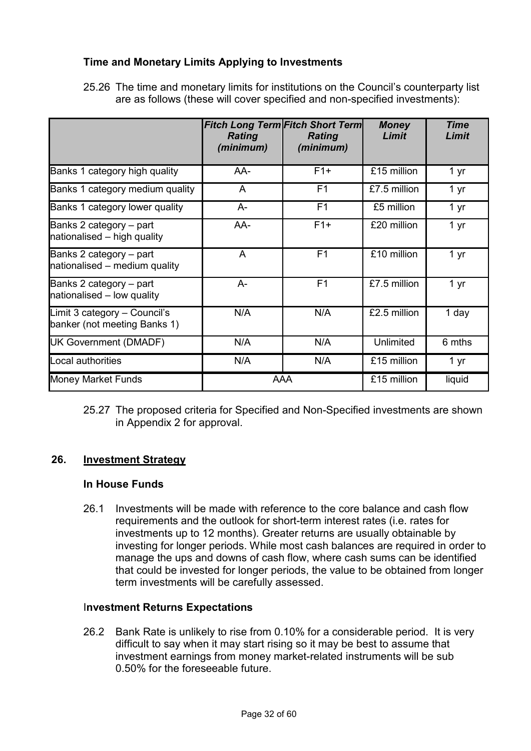## **Time and Monetary Limits Applying to Investments**

25.26 The time and monetary limits for institutions on the Council's counterparty list are as follows (these will cover specified and non-specified investments):

|                                                              | <b>Rating</b><br>(minimum) | <b>Fitch Long Term Fitch Short Term</b><br><b>Rating</b><br>(minimum) | <b>Money</b><br>Limit | <b>Time</b><br>Limit |
|--------------------------------------------------------------|----------------------------|-----------------------------------------------------------------------|-----------------------|----------------------|
| Banks 1 category high quality                                | AA-                        | $F1+$                                                                 | £15 million           | 1 yr                 |
| Banks 1 category medium quality                              | A                          | F <sub>1</sub>                                                        | £7.5 million          | 1 yr                 |
| Banks 1 category lower quality                               | $A -$                      | F <sub>1</sub>                                                        | £5 million            | 1 yr                 |
| Banks 2 category - part<br>nationalised - high quality       | AA-                        | $F1+$                                                                 | £20 million           | 1 yr                 |
| Banks 2 category - part<br>nationalised - medium quality     | A                          | F <sub>1</sub>                                                        | £10 million           | 1 yr                 |
| Banks 2 category – part<br>nationalised - low quality        | $A-$                       | F <sub>1</sub>                                                        | £7.5 million          | 1 yr                 |
| Limit 3 category - Council's<br>banker (not meeting Banks 1) | N/A                        | N/A                                                                   | £2.5 million          | 1 day                |
| UK Government (DMADF)                                        | N/A                        | N/A                                                                   | Unlimited             | 6 mths               |
| Local authorities                                            | N/A                        | N/A                                                                   | £15 million           | 1 yr                 |
| <b>Money Market Funds</b>                                    |                            | AAA                                                                   | £15 million           | liquid               |

25.27 The proposed criteria for Specified and Non-Specified investments are shown in Appendix 2 for approval.

## **26. Investment Strategy**

### **In House Funds**

26.1 Investments will be made with reference to the core balance and cash flow requirements and the outlook for short-term interest rates (i.e. rates for investments up to 12 months). Greater returns are usually obtainable by investing for longer periods. While most cash balances are required in order to manage the ups and downs of cash flow, where cash sums can be identified that could be invested for longer periods, the value to be obtained from longer term investments will be carefully assessed.

### I**nvestment Returns Expectations**

26.2 Bank Rate is unlikely to rise from 0.10% for a considerable period. It is very difficult to say when it may start rising so it may be best to assume that investment earnings from money market-related instruments will be sub 0.50% for the foreseeable future.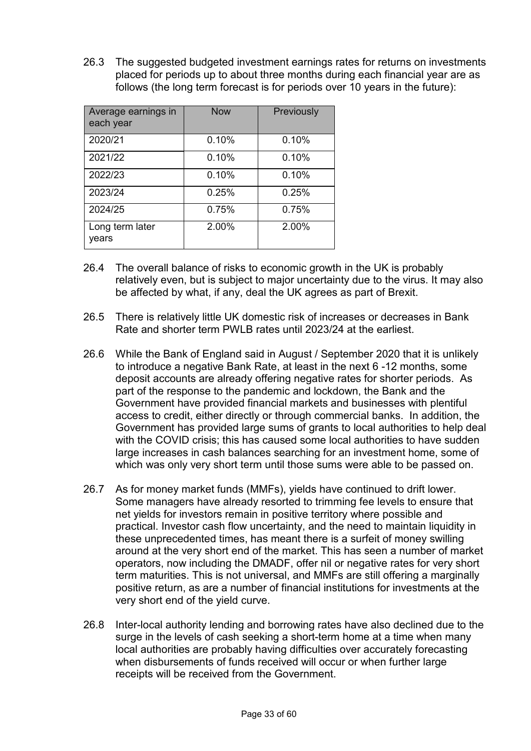26.3 The suggested budgeted investment earnings rates for returns on investments placed for periods up to about three months during each financial year are as follows (the long term forecast is for periods over 10 years in the future):

| Average earnings in<br>each year | <b>Now</b> | Previously |
|----------------------------------|------------|------------|
| 2020/21                          | 0.10%      | 0.10%      |
| 2021/22                          | 0.10%      | 0.10%      |
| 2022/23                          | 0.10%      | 0.10%      |
| 2023/24                          | 0.25%      | 0.25%      |
| 2024/25                          | 0.75%      | 0.75%      |
| Long term later<br>years         | 2.00%      | 2.00%      |

- 26.4 The overall balance of risks to economic growth in the UK is probably relatively even, but is subject to major uncertainty due to the virus. It may also be affected by what, if any, deal the UK agrees as part of Brexit.
- 26.5 There is relatively little UK domestic risk of increases or decreases in Bank Rate and shorter term PWLB rates until 2023/24 at the earliest.
- 26.6 While the Bank of England said in August / September 2020 that it is unlikely to introduce a negative Bank Rate, at least in the next 6 -12 months, some deposit accounts are already offering negative rates for shorter periods. As part of the response to the pandemic and lockdown, the Bank and the Government have provided financial markets and businesses with plentiful access to credit, either directly or through commercial banks. In addition, the Government has provided large sums of grants to local authorities to help deal with the COVID crisis; this has caused some local authorities to have sudden large increases in cash balances searching for an investment home, some of which was only very short term until those sums were able to be passed on.
- 26.7 As for money market funds (MMFs), yields have continued to drift lower. Some managers have already resorted to trimming fee levels to ensure that net yields for investors remain in positive territory where possible and practical. Investor cash flow uncertainty, and the need to maintain liquidity in these unprecedented times, has meant there is a surfeit of money swilling around at the very short end of the market. This has seen a number of market operators, now including the DMADF, offer nil or negative rates for very short term maturities. This is not universal, and MMFs are still offering a marginally positive return, as are a number of financial institutions for investments at the very short end of the yield curve.
- 26.8 Inter-local authority lending and borrowing rates have also declined due to the surge in the levels of cash seeking a short-term home at a time when many local authorities are probably having difficulties over accurately forecasting when disbursements of funds received will occur or when further large receipts will be received from the Government.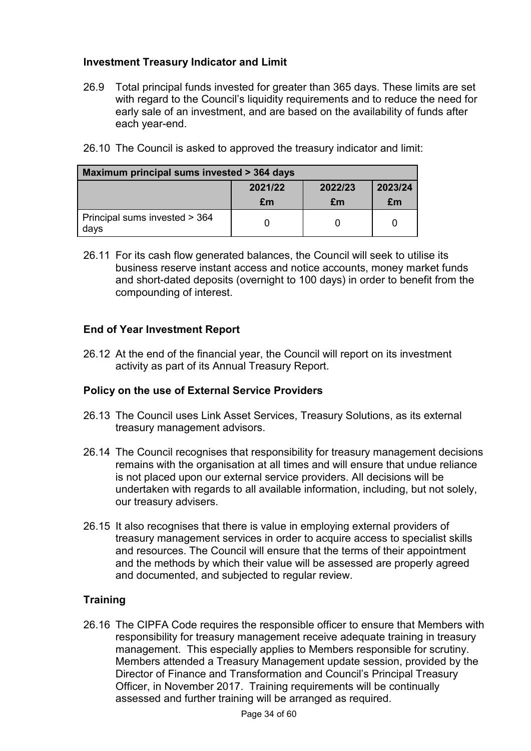## **Investment Treasury Indicator and Limit**

26.9 Total principal funds invested for greater than 365 days. These limits are set with regard to the Council's liquidity requirements and to reduce the need for early sale of an investment, and are based on the availability of funds after each year-end.

|  | 26.10 The Council is asked to approved the treasury indicator and limit: |
|--|--------------------------------------------------------------------------|
|  |                                                                          |

| Maximum principal sums invested > 364 days |    |    |    |  |  |  |
|--------------------------------------------|----|----|----|--|--|--|
| 2023/24<br>2021/22<br>2022/23              |    |    |    |  |  |  |
|                                            | £m | £m | £m |  |  |  |
| Principal sums invested > 364<br>days      |    |    |    |  |  |  |

26.11 For its cash flow generated balances, the Council will seek to utilise its business reserve instant access and notice accounts, money market funds and short-dated deposits (overnight to 100 days) in order to benefit from the compounding of interest.

## **End of Year Investment Report**

26.12 At the end of the financial year, the Council will report on its investment activity as part of its Annual Treasury Report.

## **Policy on the use of External Service Providers**

- 26.13 The Council uses Link Asset Services, Treasury Solutions, as its external treasury management advisors.
- 26.14 The Council recognises that responsibility for treasury management decisions remains with the organisation at all times and will ensure that undue reliance is not placed upon our external service providers. All decisions will be undertaken with regards to all available information, including, but not solely, our treasury advisers.
- 26.15 It also recognises that there is value in employing external providers of treasury management services in order to acquire access to specialist skills and resources. The Council will ensure that the terms of their appointment and the methods by which their value will be assessed are properly agreed and documented, and subjected to regular review.

## **Training**

26.16 The CIPFA Code requires the responsible officer to ensure that Members with responsibility for treasury management receive adequate training in treasury management. This especially applies to Members responsible for scrutiny. Members attended a Treasury Management update session, provided by the Director of Finance and Transformation and Council's Principal Treasury Officer, in November 2017. Training requirements will be continually assessed and further training will be arranged as required.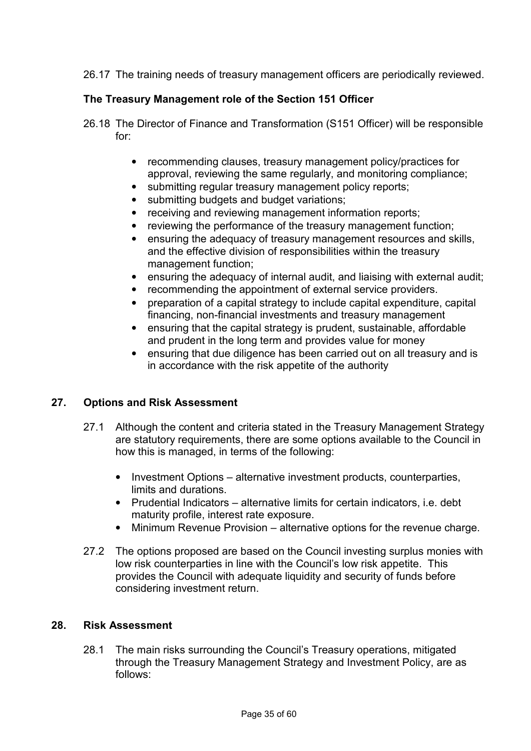26.17 The training needs of treasury management officers are periodically reviewed.

## **The Treasury Management role of the Section 151 Officer**

- 26.18 The Director of Finance and Transformation (S151 Officer) will be responsible for:
	- recommending clauses, treasury management policy/practices for approval, reviewing the same regularly, and monitoring compliance;
	- submitting regular treasury management policy reports;
	- submitting budgets and budget variations;
	- receiving and reviewing management information reports;
	- reviewing the performance of the treasury management function;
	- ensuring the adequacy of treasury management resources and skills, and the effective division of responsibilities within the treasury management function;
	- ensuring the adequacy of internal audit, and liaising with external audit;
	- recommending the appointment of external service providers.
	- preparation of a capital strategy to include capital expenditure, capital financing, non-financial investments and treasury management
	- ensuring that the capital strategy is prudent, sustainable, affordable and prudent in the long term and provides value for money
	- ensuring that due diligence has been carried out on all treasury and is in accordance with the risk appetite of the authority

### **27. Options and Risk Assessment**

- 27.1 Although the content and criteria stated in the Treasury Management Strategy are statutory requirements, there are some options available to the Council in how this is managed, in terms of the following:
	- Investment Options alternative investment products, counterparties, limits and durations.
	- Prudential Indicators alternative limits for certain indicators, i.e. debt maturity profile, interest rate exposure.
	- Minimum Revenue Provision alternative options for the revenue charge.
- 27.2 The options proposed are based on the Council investing surplus monies with low risk counterparties in line with the Council's low risk appetite. This provides the Council with adequate liquidity and security of funds before considering investment return.

## **28. Risk Assessment**

28.1 The main risks surrounding the Council's Treasury operations, mitigated through the Treasury Management Strategy and Investment Policy, are as follows: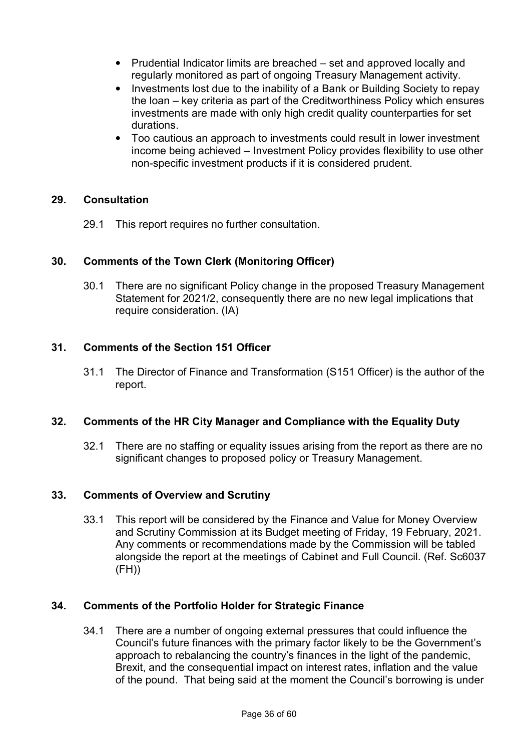- Prudential Indicator limits are breached set and approved locally and regularly monitored as part of ongoing Treasury Management activity.
- Investments lost due to the inability of a Bank or Building Society to repay the loan – key criteria as part of the Creditworthiness Policy which ensures investments are made with only high credit quality counterparties for set durations.
- Too cautious an approach to investments could result in lower investment income being achieved – Investment Policy provides flexibility to use other non-specific investment products if it is considered prudent.

### **29. Consultation**

29.1 This report requires no further consultation.

### **30. Comments of the Town Clerk (Monitoring Officer)**

30.1 There are no significant Policy change in the proposed Treasury Management Statement for 2021/2, consequently there are no new legal implications that require consideration. (IA)

#### **31. Comments of the Section 151 Officer**

31.1 The Director of Finance and Transformation (S151 Officer) is the author of the report.

#### **32. Comments of the HR City Manager and Compliance with the Equality Duty**

32.1 There are no staffing or equality issues arising from the report as there are no significant changes to proposed policy or Treasury Management.

#### **33. Comments of Overview and Scrutiny**

33.1 This report will be considered by the Finance and Value for Money Overview and Scrutiny Commission at its Budget meeting of Friday, 19 February, 2021. Any comments or recommendations made by the Commission will be tabled alongside the report at the meetings of Cabinet and Full Council. (Ref. Sc6037  $(FH))$ 

### **34. Comments of the Portfolio Holder for Strategic Finance**

34.1 There are a number of ongoing external pressures that could influence the Council's future finances with the primary factor likely to be the Government's approach to rebalancing the country's finances in the light of the pandemic, Brexit, and the consequential impact on interest rates, inflation and the value of the pound. That being said at the moment the Council's borrowing is under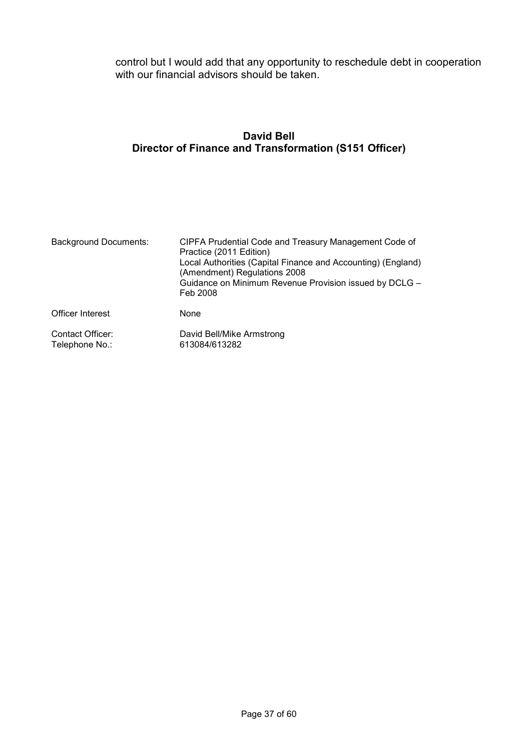control but I would add that any opportunity to reschedule debt in cooperation with our financial advisors should be taken.

# **David Bell Director of Finance and Transformation (S151 Officer)**

| <b>Background Documents:</b>       | CIPFA Prudential Code and Treasury Management Code of<br>Practice (2011 Edition)<br>Local Authorities (Capital Finance and Accounting) (England)<br>(Amendment) Regulations 2008<br>Guidance on Minimum Revenue Provision issued by DCLG -<br>Feb 2008 |
|------------------------------------|--------------------------------------------------------------------------------------------------------------------------------------------------------------------------------------------------------------------------------------------------------|
| Officer Interest                   | None                                                                                                                                                                                                                                                   |
| Contact Officer:<br>Telephone No.: | David Bell/Mike Armstrong<br>613084/613282                                                                                                                                                                                                             |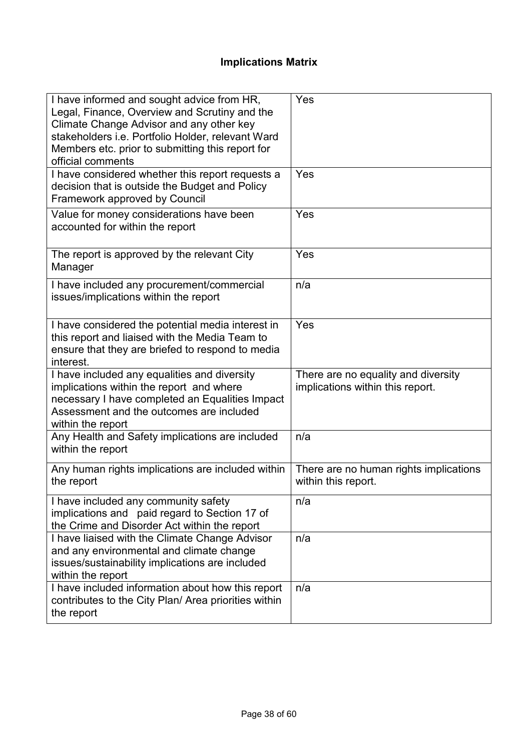# **Implications Matrix**

| I have informed and sought advice from HR,<br>Legal, Finance, Overview and Scrutiny and the<br>Climate Change Advisor and any other key<br>stakeholders i.e. Portfolio Holder, relevant Ward<br>Members etc. prior to submitting this report for<br>official comments | Yes                                                                     |
|-----------------------------------------------------------------------------------------------------------------------------------------------------------------------------------------------------------------------------------------------------------------------|-------------------------------------------------------------------------|
| I have considered whether this report requests a<br>decision that is outside the Budget and Policy<br>Framework approved by Council                                                                                                                                   | Yes                                                                     |
| Value for money considerations have been<br>accounted for within the report                                                                                                                                                                                           | Yes                                                                     |
| The report is approved by the relevant City<br>Manager                                                                                                                                                                                                                | Yes                                                                     |
| I have included any procurement/commercial<br>issues/implications within the report                                                                                                                                                                                   | n/a                                                                     |
| I have considered the potential media interest in<br>this report and liaised with the Media Team to<br>ensure that they are briefed to respond to media<br>interest.                                                                                                  | Yes                                                                     |
| I have included any equalities and diversity<br>implications within the report and where<br>necessary I have completed an Equalities Impact<br>Assessment and the outcomes are included<br>within the report                                                          | There are no equality and diversity<br>implications within this report. |
| Any Health and Safety implications are included<br>within the report                                                                                                                                                                                                  | n/a                                                                     |
| Any human rights implications are included within<br>the report                                                                                                                                                                                                       | There are no human rights implications<br>within this report.           |
| I have included any community safety<br>implications and paid regard to Section 17 of<br>the Crime and Disorder Act within the report                                                                                                                                 | n/a                                                                     |
| I have liaised with the Climate Change Advisor<br>and any environmental and climate change<br>issues/sustainability implications are included<br>within the report                                                                                                    | n/a                                                                     |
| I have included information about how this report<br>contributes to the City Plan/ Area priorities within<br>the report                                                                                                                                               | n/a                                                                     |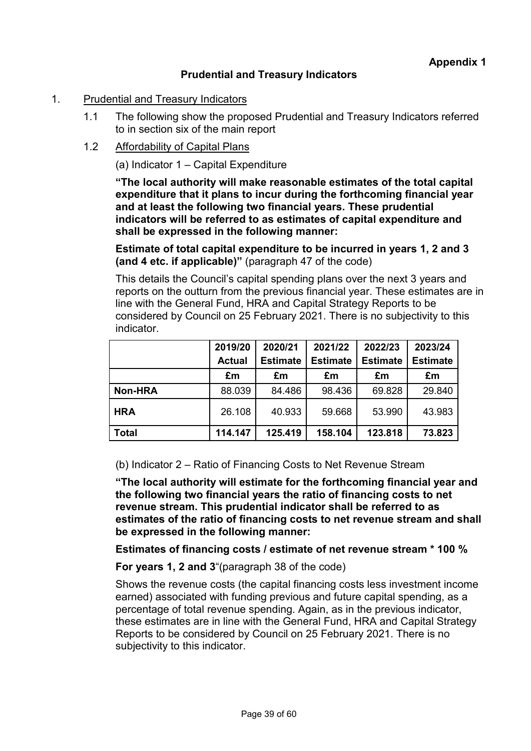# **Prudential and Treasury Indicators**

### 1. Prudential and Treasury Indicators

- 1.1 The following show the proposed Prudential and Treasury Indicators referred to in section six of the main report
- 1.2 Affordability of Capital Plans

## (a) Indicator 1 – Capital Expenditure

**"The local authority will make reasonable estimates of the total capital expenditure that it plans to incur during the forthcoming financial year and at least the following two financial years. These prudential indicators will be referred to as estimates of capital expenditure and shall be expressed in the following manner:** 

**Estimate of total capital expenditure to be incurred in years 1, 2 and 3 (and 4 etc. if applicable)"** (paragraph 47 of the code)

This details the Council's capital spending plans over the next 3 years and reports on the outturn from the previous financial year. These estimates are in line with the General Fund, HRA and Capital Strategy Reports to be considered by Council on 25 February 2021. There is no subjectivity to this indicator.

|                | 2019/20       | 2020/21         | 2021/22         | 2022/23         | 2023/24         |
|----------------|---------------|-----------------|-----------------|-----------------|-----------------|
|                | <b>Actual</b> | <b>Estimate</b> | <b>Estimate</b> | <b>Estimate</b> | <b>Estimate</b> |
|                | £m            | £m              | £m              | £m              | £m              |
| <b>Non-HRA</b> | 88.039        | 84.486          | 98.436          | 69.828          | 29.840          |
| <b>HRA</b>     | 26.108        | 40.933          | 59.668          | 53.990          | 43.983          |
| <b>Total</b>   | 114.147       | 125.419         | 158.104         | 123.818         | 73.823          |

(b) Indicator 2 – Ratio of Financing Costs to Net Revenue Stream

**"The local authority will estimate for the forthcoming financial year and the following two financial years the ratio of financing costs to net revenue stream. This prudential indicator shall be referred to as estimates of the ratio of financing costs to net revenue stream and shall be expressed in the following manner:** 

**Estimates of financing costs / estimate of net revenue stream \* 100 %** 

**For years 1, 2 and 3**"(paragraph 38 of the code)

Shows the revenue costs (the capital financing costs less investment income earned) associated with funding previous and future capital spending, as a percentage of total revenue spending. Again, as in the previous indicator, these estimates are in line with the General Fund, HRA and Capital Strategy Reports to be considered by Council on 25 February 2021. There is no subjectivity to this indicator.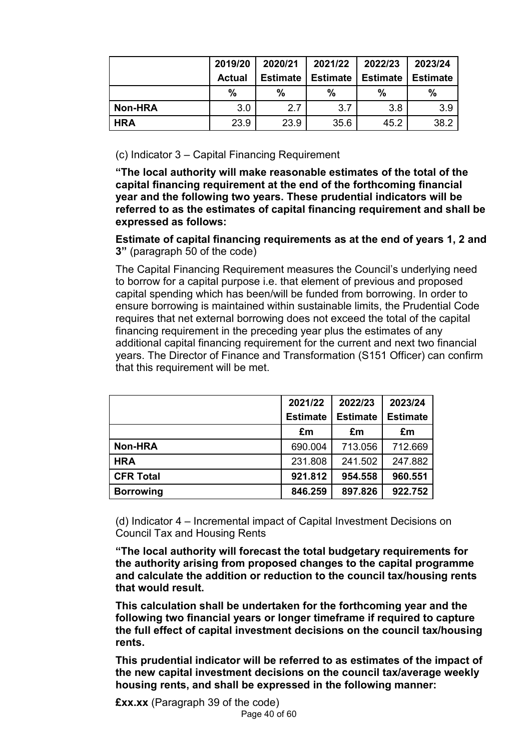|                | 2019/20       | 2020/21         | 2021/22         | 2022/23         | 2023/24         |
|----------------|---------------|-----------------|-----------------|-----------------|-----------------|
|                | <b>Actual</b> | <b>Estimate</b> | <b>Estimate</b> | <b>Estimate</b> | <b>Estimate</b> |
|                | $\%$          | $\%$            | $\%$            | $\%$            | %               |
| <b>Non-HRA</b> | 3.0           | 2.7             | 3.7             | 3.8             | 3.9             |
| <b>HRA</b>     | 23.9          | 23.9            | 35.6            | 45.2            | 38.2            |

(c) Indicator 3 – Capital Financing Requirement

**"The local authority will make reasonable estimates of the total of the capital financing requirement at the end of the forthcoming financial year and the following two years. These prudential indicators will be referred to as the estimates of capital financing requirement and shall be expressed as follows:** 

**Estimate of capital financing requirements as at the end of years 1, 2 and 3"** (paragraph 50 of the code)

The Capital Financing Requirement measures the Council's underlying need to borrow for a capital purpose i.e. that element of previous and proposed capital spending which has been/will be funded from borrowing. In order to ensure borrowing is maintained within sustainable limits, the Prudential Code requires that net external borrowing does not exceed the total of the capital financing requirement in the preceding year plus the estimates of any additional capital financing requirement for the current and next two financial years. The Director of Finance and Transformation (S151 Officer) can confirm that this requirement will be met.

|                  | 2021/22         | 2022/23         | 2023/24         |
|------------------|-----------------|-----------------|-----------------|
|                  | <b>Estimate</b> | <b>Estimate</b> | <b>Estimate</b> |
|                  | £m              | £m              | £m              |
| <b>Non-HRA</b>   | 690.004         | 713.056         | 712.669         |
| <b>HRA</b>       | 231.808         | 241.502         | 247.882         |
| <b>CFR Total</b> | 921.812         | 954.558         | 960.551         |
| <b>Borrowing</b> | 846.259         | 897.826         | 922.752         |

(d) Indicator 4 – Incremental impact of Capital Investment Decisions on Council Tax and Housing Rents

**"The local authority will forecast the total budgetary requirements for the authority arising from proposed changes to the capital programme and calculate the addition or reduction to the council tax/housing rents that would result.** 

**This calculation shall be undertaken for the forthcoming year and the following two financial years or longer timeframe if required to capture the full effect of capital investment decisions on the council tax/housing rents.** 

**This prudential indicator will be referred to as estimates of the impact of the new capital investment decisions on the council tax/average weekly housing rents, and shall be expressed in the following manner:**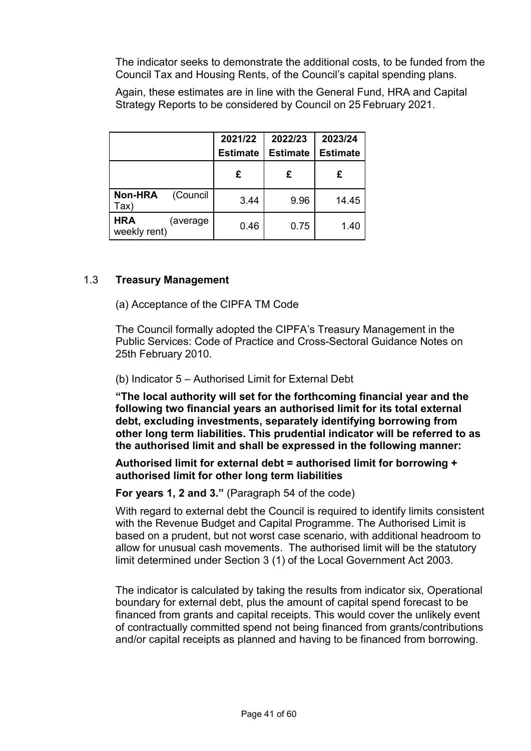The indicator seeks to demonstrate the additional costs, to be funded from the Council Tax and Housing Rents, of the Council's capital spending plans.

Again, these estimates are in line with the General Fund, HRA and Capital Strategy Reports to be considered by Council on 25 February 2021.

|                                                | 2021/22<br>2022/23<br><b>Estimate</b><br><b>Estimate</b> |       |
|------------------------------------------------|----------------------------------------------------------|-------|
| £                                              | £                                                        | £     |
| <b>Non-HRA</b><br>(Council<br>3.44<br>Tax)     | 9.96                                                     | 14.45 |
| <b>HRA</b><br>(average<br>0.46<br>weekly rent) | 0.75                                                     | 1.40  |

### 1.3 **Treasury Management**

(a) Acceptance of the CIPFA TM Code

 The Council formally adopted the CIPFA's Treasury Management in the Public Services: Code of Practice and Cross-Sectoral Guidance Notes on 25th February 2010.

#### (b) Indicator 5 – Authorised Limit for External Debt

**"The local authority will set for the forthcoming financial year and the following two financial years an authorised limit for its total external debt, excluding investments, separately identifying borrowing from other long term liabilities. This prudential indicator will be referred to as the authorised limit and shall be expressed in the following manner:** 

#### **Authorised limit for external debt = authorised limit for borrowing + authorised limit for other long term liabilities**

### **For years 1, 2 and 3."** (Paragraph 54 of the code)

With regard to external debt the Council is required to identify limits consistent with the Revenue Budget and Capital Programme. The Authorised Limit is based on a prudent, but not worst case scenario, with additional headroom to allow for unusual cash movements. The authorised limit will be the statutory limit determined under Section 3 (1) of the Local Government Act 2003.

The indicator is calculated by taking the results from indicator six, Operational boundary for external debt, plus the amount of capital spend forecast to be financed from grants and capital receipts. This would cover the unlikely event of contractually committed spend not being financed from grants/contributions and/or capital receipts as planned and having to be financed from borrowing.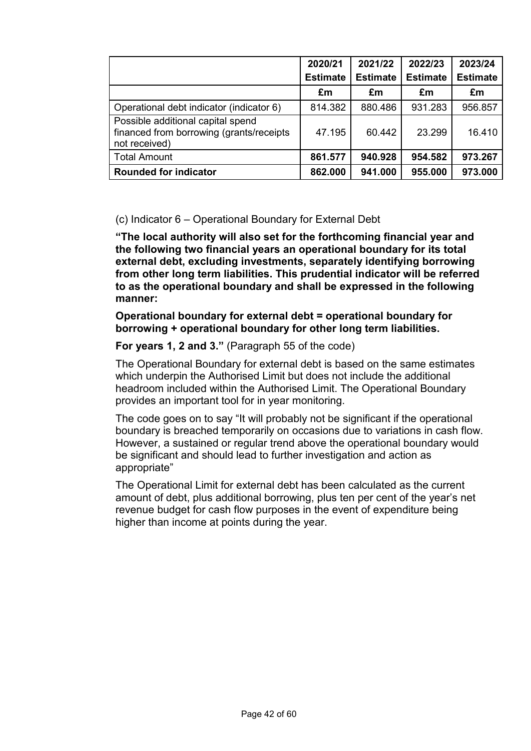|                                                                                                 | 2020/21         | 2021/22         | 2022/23         | 2023/24         |
|-------------------------------------------------------------------------------------------------|-----------------|-----------------|-----------------|-----------------|
|                                                                                                 | <b>Estimate</b> | <b>Estimate</b> | <b>Estimate</b> | <b>Estimate</b> |
|                                                                                                 | £m              | £m              | £m              | £m              |
| Operational debt indicator (indicator 6)                                                        | 814.382         | 880.486         | 931.283         | 956.857         |
| Possible additional capital spend<br>financed from borrowing (grants/receipts)<br>not received) | 47.195          | 60.442          | 23.299          | 16.410          |
| <b>Total Amount</b>                                                                             | 861.577         | 940.928         | 954.582         | 973.267         |
| <b>Rounded for indicator</b>                                                                    | 862.000         | 941.000         | 955.000         | 973.000         |

## (c) Indicator 6 – Operational Boundary for External Debt

**"The local authority will also set for the forthcoming financial year and the following two financial years an operational boundary for its total external debt, excluding investments, separately identifying borrowing from other long term liabilities. This prudential indicator will be referred to as the operational boundary and shall be expressed in the following manner:** 

**Operational boundary for external debt = operational boundary for borrowing + operational boundary for other long term liabilities.** 

## **For years 1, 2 and 3."** (Paragraph 55 of the code)

The Operational Boundary for external debt is based on the same estimates which underpin the Authorised Limit but does not include the additional headroom included within the Authorised Limit. The Operational Boundary provides an important tool for in year monitoring.

The code goes on to say "It will probably not be significant if the operational boundary is breached temporarily on occasions due to variations in cash flow. However, a sustained or regular trend above the operational boundary would be significant and should lead to further investigation and action as appropriate"

The Operational Limit for external debt has been calculated as the current amount of debt, plus additional borrowing, plus ten per cent of the year's net revenue budget for cash flow purposes in the event of expenditure being higher than income at points during the year.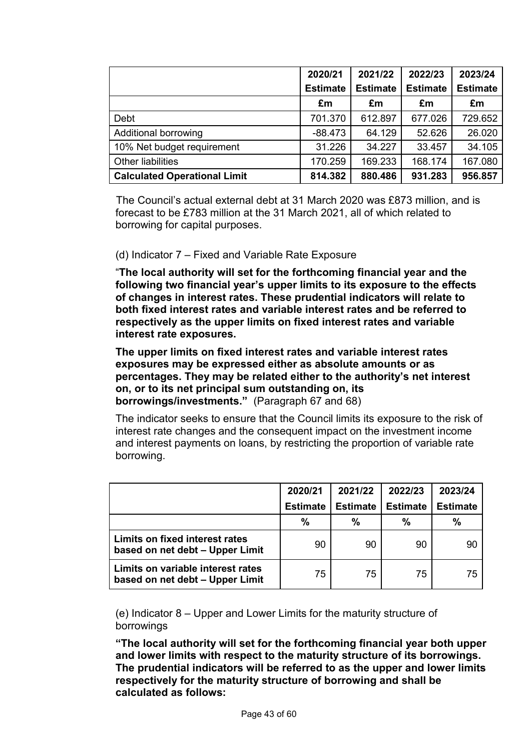|                                     | 2020/21         | 2021/22         | 2022/23         | 2023/24         |
|-------------------------------------|-----------------|-----------------|-----------------|-----------------|
|                                     | <b>Estimate</b> | <b>Estimate</b> | <b>Estimate</b> | <b>Estimate</b> |
|                                     | £m              | £m              | £m              | £m              |
| Debt                                | 701.370         | 612.897         | 677.026         | 729.652         |
| <b>Additional borrowing</b>         | $-88.473$       | 64.129          | 52.626          | 26.020          |
| 10% Net budget requirement          | 31.226          | 34.227          | 33.457          | 34.105          |
| <b>Other liabilities</b>            | 170.259         | 169.233         | 168.174         | 167.080         |
| <b>Calculated Operational Limit</b> | 814.382         | 880.486         | 931.283         | 956.857         |

The Council's actual external debt at 31 March 2020 was £873 million, and is forecast to be £783 million at the 31 March 2021, all of which related to borrowing for capital purposes.

## (d) Indicator 7 – Fixed and Variable Rate Exposure

"**The local authority will set for the forthcoming financial year and the following two financial year's upper limits to its exposure to the effects of changes in interest rates. These prudential indicators will relate to both fixed interest rates and variable interest rates and be referred to respectively as the upper limits on fixed interest rates and variable interest rate exposures.** 

**The upper limits on fixed interest rates and variable interest rates exposures may be expressed either as absolute amounts or as percentages. They may be related either to the authority's net interest on, or to its net principal sum outstanding on, its borrowings/investments."** (Paragraph 67 and 68)

The indicator seeks to ensure that the Council limits its exposure to the risk of interest rate changes and the consequent impact on the investment income and interest payments on loans, by restricting the proportion of variable rate borrowing.

|                                                                      | 2020/21         | 2021/22         | 2022/23         | 2023/24         |
|----------------------------------------------------------------------|-----------------|-----------------|-----------------|-----------------|
|                                                                      | <b>Estimate</b> | <b>Estimate</b> | <b>Estimate</b> | <b>Estimate</b> |
|                                                                      | %               | $\%$            | %               | %               |
| Limits on fixed interest rates<br>based on net debt - Upper Limit    | 90              | 90              | 90              | 90              |
| Limits on variable interest rates<br>based on net debt - Upper Limit | 75              | 75              | 75              | 75              |

(e) Indicator 8 – Upper and Lower Limits for the maturity structure of borrowings

**"The local authority will set for the forthcoming financial year both upper and lower limits with respect to the maturity structure of its borrowings. The prudential indicators will be referred to as the upper and lower limits respectively for the maturity structure of borrowing and shall be calculated as follows:**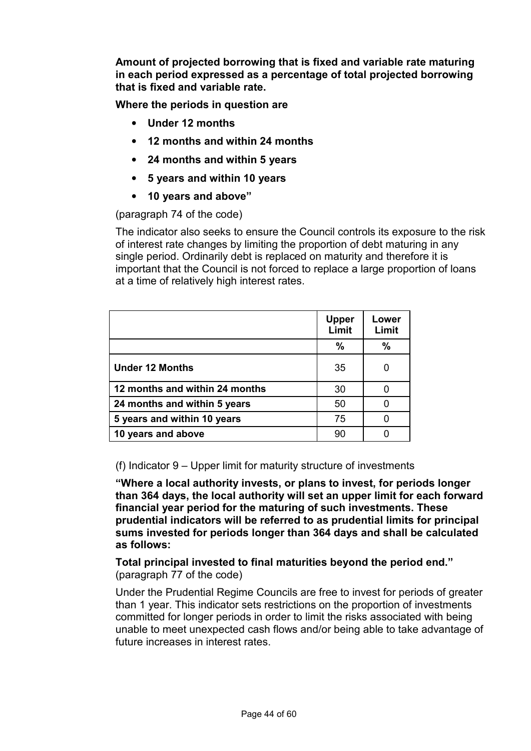**Amount of projected borrowing that is fixed and variable rate maturing in each period expressed as a percentage of total projected borrowing that is fixed and variable rate.** 

**Where the periods in question are** 

- **Under 12 months**
- **12 months and within 24 months**
- **24 months and within 5 years**
- **5 years and within 10 years**
- **10 years and above"**

(paragraph 74 of the code)

The indicator also seeks to ensure the Council controls its exposure to the risk of interest rate changes by limiting the proportion of debt maturing in any single period. Ordinarily debt is replaced on maturity and therefore it is important that the Council is not forced to replace a large proportion of loans at a time of relatively high interest rates.

|                                | <b>Upper</b><br>Limit | Lower<br>Limit |
|--------------------------------|-----------------------|----------------|
|                                | %                     | $\%$           |
| <b>Under 12 Months</b>         | 35                    |                |
| 12 months and within 24 months | 30                    | 0              |
| 24 months and within 5 years   | 50                    |                |
| 5 years and within 10 years    | 75                    |                |
| 10 years and above             | 90                    |                |

(f) Indicator 9 – Upper limit for maturity structure of investments

**"Where a local authority invests, or plans to invest, for periods longer than 364 days, the local authority will set an upper limit for each forward financial year period for the maturing of such investments. These prudential indicators will be referred to as prudential limits for principal sums invested for periods longer than 364 days and shall be calculated as follows:** 

**Total principal invested to final maturities beyond the period end."**  (paragraph 77 of the code)

Under the Prudential Regime Councils are free to invest for periods of greater than 1 year. This indicator sets restrictions on the proportion of investments committed for longer periods in order to limit the risks associated with being unable to meet unexpected cash flows and/or being able to take advantage of future increases in interest rates.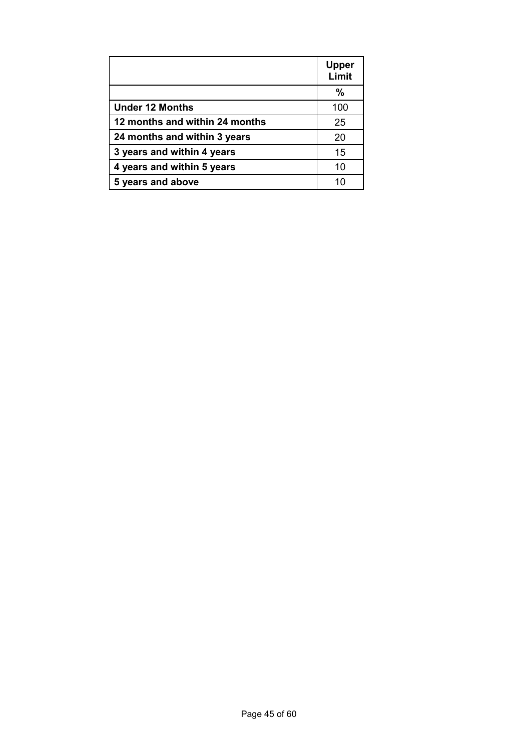|                                | <b>Upper</b><br>Limit |
|--------------------------------|-----------------------|
|                                | %                     |
| <b>Under 12 Months</b>         | 100                   |
| 12 months and within 24 months | 25                    |
| 24 months and within 3 years   | 20                    |
| 3 years and within 4 years     | 15                    |
| 4 years and within 5 years     | 10                    |
| 5 years and above              | 10                    |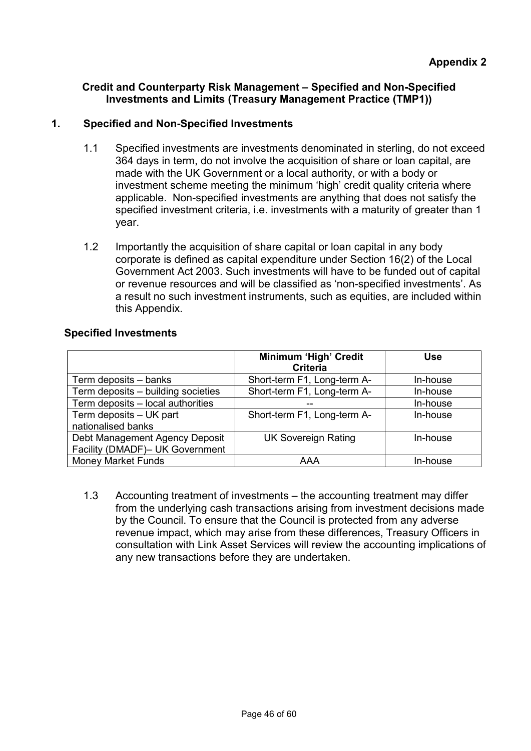## **Credit and Counterparty Risk Management – Specified and Non-Specified Investments and Limits (Treasury Management Practice (TMP1))**

# **1. Specified and Non-Specified Investments**

- 1.1 Specified investments are investments denominated in sterling, do not exceed 364 days in term, do not involve the acquisition of share or loan capital, are made with the UK Government or a local authority, or with a body or investment scheme meeting the minimum 'high' credit quality criteria where applicable. Non-specified investments are anything that does not satisfy the specified investment criteria, i.e. investments with a maturity of greater than 1 year.
- 1.2 Importantly the acquisition of share capital or loan capital in any body corporate is defined as capital expenditure under Section 16(2) of the Local Government Act 2003. Such investments will have to be funded out of capital or revenue resources and will be classified as 'non-specified investments'. As a result no such investment instruments, such as equities, are included within this Appendix.

## **Specified Investments**

|                                                                   | Minimum 'High' Credit<br><b>Criteria</b> | <b>Use</b> |
|-------------------------------------------------------------------|------------------------------------------|------------|
| Term deposits – banks                                             | Short-term F1, Long-term A-              | In-house   |
| Term deposits - building societies                                | Short-term F1, Long-term A-              | In-house   |
| Term deposits - local authorities                                 |                                          | In-house   |
| Term deposits - UK part<br>nationalised banks                     | Short-term F1, Long-term A-              | In-house   |
| Debt Management Agency Deposit<br>Facility (DMADF)- UK Government | <b>UK Sovereign Rating</b>               | In-house   |
| <b>Money Market Funds</b>                                         | AAA                                      | In-house   |

1.3 Accounting treatment of investments – the accounting treatment may differ from the underlying cash transactions arising from investment decisions made by the Council. To ensure that the Council is protected from any adverse revenue impact, which may arise from these differences, Treasury Officers in consultation with Link Asset Services will review the accounting implications of any new transactions before they are undertaken.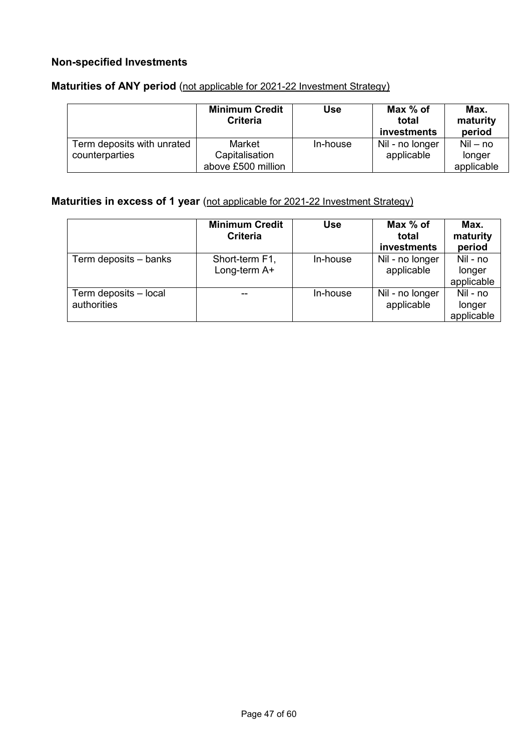## **Non-specified Investments**

|                            | <b>Minimum Credit</b><br><b>Criteria</b> | <b>Use</b> | Max % of<br>total<br>investments | Max.<br>maturity<br>period |
|----------------------------|------------------------------------------|------------|----------------------------------|----------------------------|
| Term deposits with unrated | Market                                   | In-house   | Nil - no longer                  | $Nil - no$                 |
| counterparties             | Capitalisation                           |            | applicable                       | longer                     |
|                            | above £500 million                       |            |                                  | applicable                 |

# **Maturities of ANY period** (not applicable for 2021-22 Investment Strategy)

## **Maturities in excess of 1 year** (not applicable for 2021-22 Investment Strategy)

|                                      | <b>Minimum Credit</b><br>Criteria | <b>Use</b> | Max % of<br>total<br>investments | Max.<br>maturity<br>period       |
|--------------------------------------|-----------------------------------|------------|----------------------------------|----------------------------------|
| Term deposits - banks                | Short-term F1,<br>Long-term A+    | In-house   | Nil - no longer<br>applicable    | Nil - no<br>longer<br>applicable |
| Term deposits - local<br>authorities |                                   | In-house   | Nil - no longer<br>applicable    | Nil - no<br>longer<br>applicable |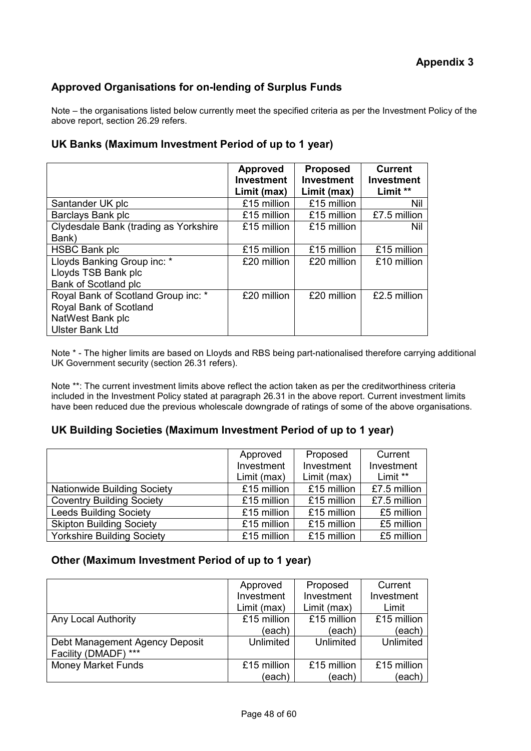# **Approved Organisations for on-lending of Surplus Funds**

Note – the organisations listed below currently meet the specified criteria as per the Investment Policy of the above report, section 26.29 refers.

### **UK Banks (Maximum Investment Period of up to 1 year)**

|                                                                                                             | <b>Approved</b><br><b>Investment</b><br>Limit (max) | <b>Proposed</b><br><b>Investment</b><br>Limit (max) | <b>Current</b><br><b>Investment</b><br>Limit ** |
|-------------------------------------------------------------------------------------------------------------|-----------------------------------------------------|-----------------------------------------------------|-------------------------------------------------|
| Santander UK plc                                                                                            | £15 million                                         | £15 million                                         | Nil                                             |
| Barclays Bank plc                                                                                           | £15 million                                         | £15 million                                         | £7.5 million                                    |
| Clydesdale Bank (trading as Yorkshire<br>Bank)                                                              | £15 million                                         | £15 million                                         | Nil                                             |
| <b>HSBC Bank plc</b>                                                                                        | £15 million                                         | £15 million                                         | £15 million                                     |
| Lloyds Banking Group inc: *<br>Lloyds TSB Bank plc<br>Bank of Scotland plc                                  | £20 million                                         | £20 million                                         | £10 million                                     |
| Royal Bank of Scotland Group inc: *<br>Royal Bank of Scotland<br>NatWest Bank plc<br><b>Ulster Bank Ltd</b> | £20 million                                         | £20 million                                         | £2.5 million                                    |

Note \* - The higher limits are based on Lloyds and RBS being part-nationalised therefore carrying additional UK Government security (section 26.31 refers).

Note \*\*: The current investment limits above reflect the action taken as per the creditworthiness criteria included in the Investment Policy stated at paragraph 26.31 in the above report. Current investment limits have been reduced due the previous wholescale downgrade of ratings of some of the above organisations.

### **UK Building Societies (Maximum Investment Period of up to 1 year)**

|                                    | Approved    | Proposed    | Current      |
|------------------------------------|-------------|-------------|--------------|
|                                    | Investment  | Investment  | Investment   |
|                                    | Limit (max) | Limit (max) | Limit **     |
| <b>Nationwide Building Society</b> | £15 million | £15 million | £7.5 million |
| <b>Coventry Building Society</b>   | £15 million | £15 million | £7.5 million |
| <b>Leeds Building Society</b>      | £15 million | £15 million | £5 million   |
| <b>Skipton Building Society</b>    | £15 million | £15 million | £5 million   |
| <b>Yorkshire Building Society</b>  | £15 million | £15 million | £5 million   |

### **Other (Maximum Investment Period of up to 1 year)**

|                                | Approved    | Proposed    | Current     |
|--------------------------------|-------------|-------------|-------------|
|                                | Investment  | Investment  | Investment  |
|                                | Limit (max) | Limit (max) | Limit       |
| Any Local Authority            | £15 million | £15 million | £15 million |
|                                | (each)      | (each)      | (each)      |
| Debt Management Agency Deposit | Unlimited   | Unlimited   | Unlimited   |
| $***$<br>Facility (DMADF)      |             |             |             |
| <b>Money Market Funds</b>      | £15 million | £15 million | £15 million |
|                                | (each)      | (each)      | (each)      |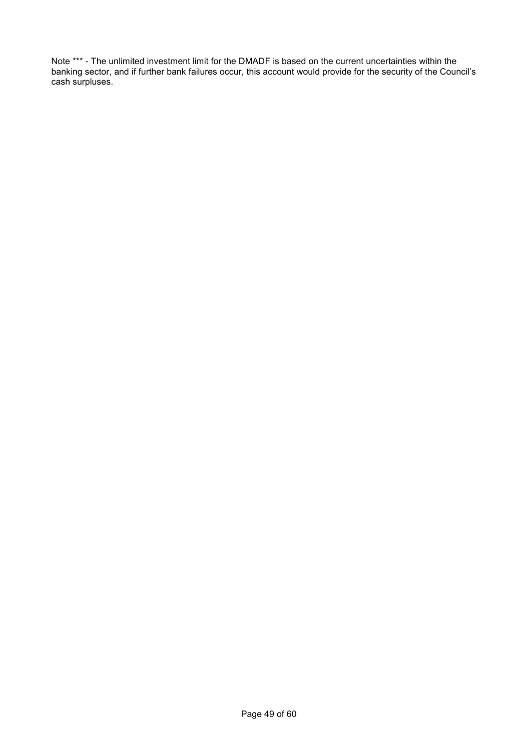Note \*\*\* - The unlimited investment limit for the DMADF is based on the current uncertainties within the banking sector, and if further bank failures occur, this account would provide for the security of the Council's cash surpluses.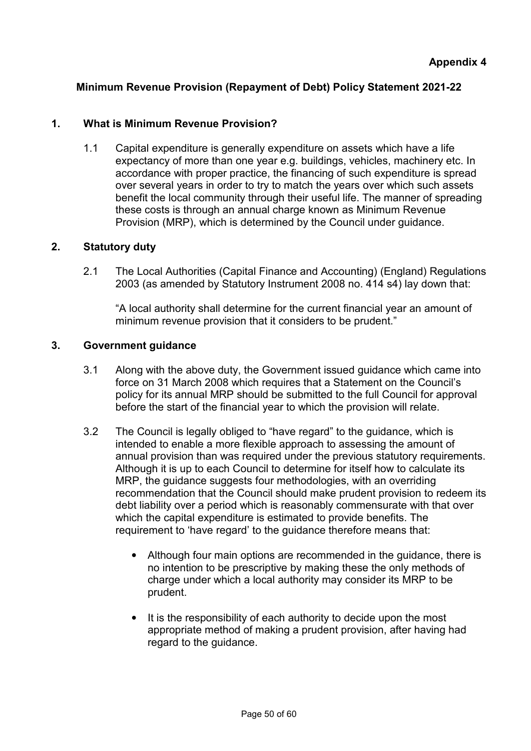# **Minimum Revenue Provision (Repayment of Debt) Policy Statement 2021-22**

## **1. What is Minimum Revenue Provision?**

1.1 Capital expenditure is generally expenditure on assets which have a life expectancy of more than one year e.g. buildings, vehicles, machinery etc. In accordance with proper practice, the financing of such expenditure is spread over several years in order to try to match the years over which such assets benefit the local community through their useful life. The manner of spreading these costs is through an annual charge known as Minimum Revenue Provision (MRP), which is determined by the Council under guidance.

## **2. Statutory duty**

2.1 The Local Authorities (Capital Finance and Accounting) (England) Regulations 2003 (as amended by Statutory Instrument 2008 no. 414 s4) lay down that:

"A local authority shall determine for the current financial year an amount of minimum revenue provision that it considers to be prudent."

## **3. Government guidance**

- 3.1 Along with the above duty, the Government issued guidance which came into force on 31 March 2008 which requires that a Statement on the Council's policy for its annual MRP should be submitted to the full Council for approval before the start of the financial year to which the provision will relate.
- 3.2 The Council is legally obliged to "have regard" to the guidance, which is intended to enable a more flexible approach to assessing the amount of annual provision than was required under the previous statutory requirements. Although it is up to each Council to determine for itself how to calculate its MRP, the guidance suggests four methodologies, with an overriding recommendation that the Council should make prudent provision to redeem its debt liability over a period which is reasonably commensurate with that over which the capital expenditure is estimated to provide benefits. The requirement to 'have regard' to the guidance therefore means that:
	- Although four main options are recommended in the guidance, there is no intention to be prescriptive by making these the only methods of charge under which a local authority may consider its MRP to be prudent.
	- It is the responsibility of each authority to decide upon the most appropriate method of making a prudent provision, after having had regard to the guidance.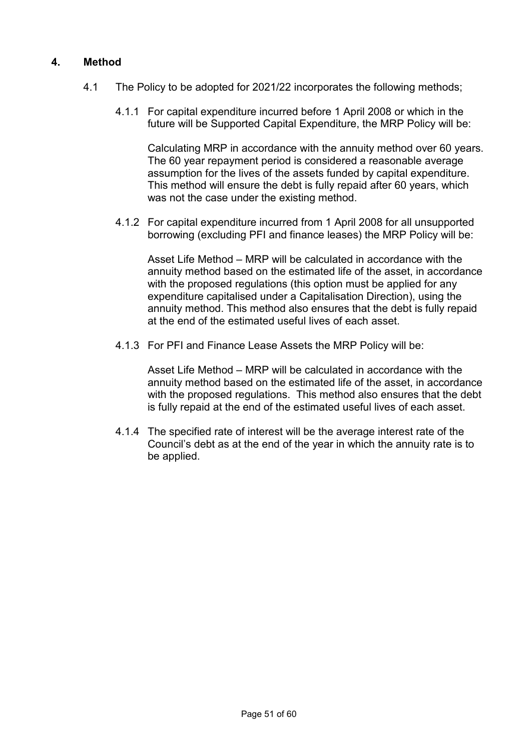## **4. Method**

- 4.1 The Policy to be adopted for 2021/22 incorporates the following methods;
	- 4.1.1 For capital expenditure incurred before 1 April 2008 or which in the future will be Supported Capital Expenditure, the MRP Policy will be:

Calculating MRP in accordance with the annuity method over 60 years. The 60 year repayment period is considered a reasonable average assumption for the lives of the assets funded by capital expenditure. This method will ensure the debt is fully repaid after 60 years, which was not the case under the existing method.

4.1.2 For capital expenditure incurred from 1 April 2008 for all unsupported borrowing (excluding PFI and finance leases) the MRP Policy will be:

Asset Life Method – MRP will be calculated in accordance with the annuity method based on the estimated life of the asset, in accordance with the proposed regulations (this option must be applied for any expenditure capitalised under a Capitalisation Direction), using the annuity method. This method also ensures that the debt is fully repaid at the end of the estimated useful lives of each asset.

4.1.3 For PFI and Finance Lease Assets the MRP Policy will be:

Asset Life Method – MRP will be calculated in accordance with the annuity method based on the estimated life of the asset, in accordance with the proposed regulations. This method also ensures that the debt is fully repaid at the end of the estimated useful lives of each asset.

4.1.4 The specified rate of interest will be the average interest rate of the Council's debt as at the end of the year in which the annuity rate is to be applied.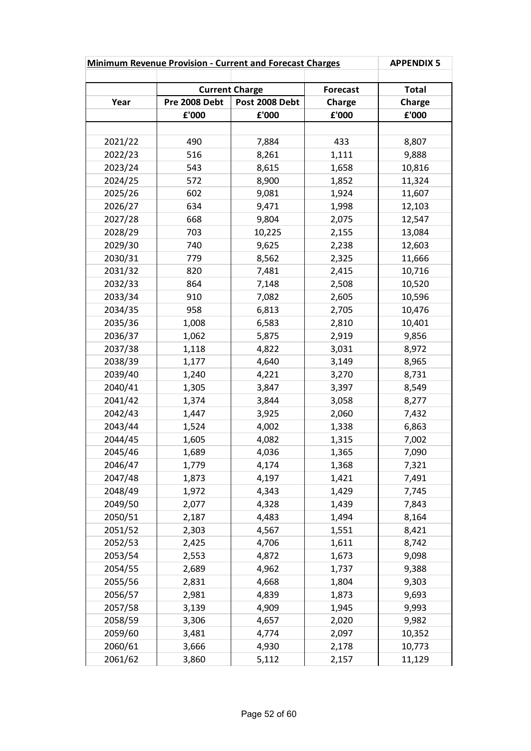| <b>Minimum Revenue Provision - Current and Forecast Charges</b> |               |                       | <b>APPENDIX 5</b> |                 |
|-----------------------------------------------------------------|---------------|-----------------------|-------------------|-----------------|
|                                                                 |               |                       |                   |                 |
|                                                                 |               | <b>Current Charge</b> | <b>Forecast</b>   | <b>Total</b>    |
| Year                                                            | Pre 2008 Debt | Post 2008 Debt        | Charge            | Charge<br>£'000 |
|                                                                 | £'000         | £'000                 | £'000             |                 |
| 2021/22                                                         | 490           | 7,884                 | 433               | 8,807           |
| 2022/23                                                         | 516           | 8,261                 | 1,111             | 9,888           |
| 2023/24                                                         | 543           | 8,615                 | 1,658             | 10,816          |
| 2024/25                                                         | 572           | 8,900                 | 1,852             | 11,324          |
| 2025/26                                                         | 602           | 9,081                 | 1,924             | 11,607          |
| 2026/27                                                         | 634           | 9,471                 | 1,998             | 12,103          |
| 2027/28                                                         | 668           | 9,804                 | 2,075             | 12,547          |
| 2028/29                                                         | 703           | 10,225                | 2,155             | 13,084          |
| 2029/30                                                         | 740           | 9,625                 | 2,238             | 12,603          |
| 2030/31                                                         | 779           | 8,562                 | 2,325             | 11,666          |
| 2031/32                                                         | 820           | 7,481                 | 2,415             | 10,716          |
| 2032/33                                                         | 864           | 7,148                 | 2,508             | 10,520          |
| 2033/34                                                         | 910           | 7,082                 | 2,605             | 10,596          |
| 2034/35                                                         | 958           | 6,813                 | 2,705             | 10,476          |
| 2035/36                                                         | 1,008         | 6,583                 | 2,810             | 10,401          |
| 2036/37                                                         | 1,062         | 5,875                 | 2,919             | 9,856           |
| 2037/38                                                         | 1,118         | 4,822                 | 3,031             | 8,972           |
| 2038/39                                                         | 1,177         | 4,640                 | 3,149             | 8,965           |
| 2039/40                                                         | 1,240         | 4,221                 | 3,270             | 8,731           |
| 2040/41                                                         | 1,305         | 3,847                 | 3,397             | 8,549           |
| 2041/42                                                         | 1,374         | 3,844                 | 3,058             | 8,277           |
| 2042/43                                                         | 1,447         | 3,925                 | 2,060             | 7,432           |
| 2043/44                                                         | 1,524         | 4,002                 | 1,338             | 6,863           |
| 2044/45                                                         | 1,605         | 4,082                 | 1,315             | 7,002           |
| 2045/46                                                         | 1,689         | 4,036                 | 1,365             | 7,090           |
| 2046/47                                                         | 1,779         | 4,174                 | 1,368             | 7,321           |
| 2047/48                                                         | 1,873         | 4,197                 | 1,421             | 7,491           |
| 2048/49                                                         | 1,972         | 4,343                 | 1,429             | 7,745           |
| 2049/50                                                         | 2,077         | 4,328                 | 1,439             | 7,843           |
| 2050/51                                                         | 2,187         | 4,483                 | 1,494             | 8,164           |
| 2051/52                                                         | 2,303         | 4,567                 | 1,551             | 8,421           |
| 2052/53                                                         | 2,425         | 4,706                 | 1,611             | 8,742           |
| 2053/54                                                         | 2,553         | 4,872                 | 1,673             | 9,098           |
| 2054/55                                                         | 2,689         | 4,962                 | 1,737             | 9,388           |
| 2055/56                                                         | 2,831         | 4,668                 | 1,804             | 9,303           |
| 2056/57                                                         | 2,981         | 4,839                 | 1,873             | 9,693           |
| 2057/58                                                         | 3,139         | 4,909                 | 1,945             | 9,993           |
| 2058/59                                                         | 3,306         | 4,657                 | 2,020             | 9,982           |
| 2059/60                                                         | 3,481         | 4,774                 | 2,097             | 10,352          |
| 2060/61                                                         | 3,666         | 4,930                 | 2,178             | 10,773          |
| 2061/62                                                         | 3,860         | 5,112                 | 2,157             | 11,129          |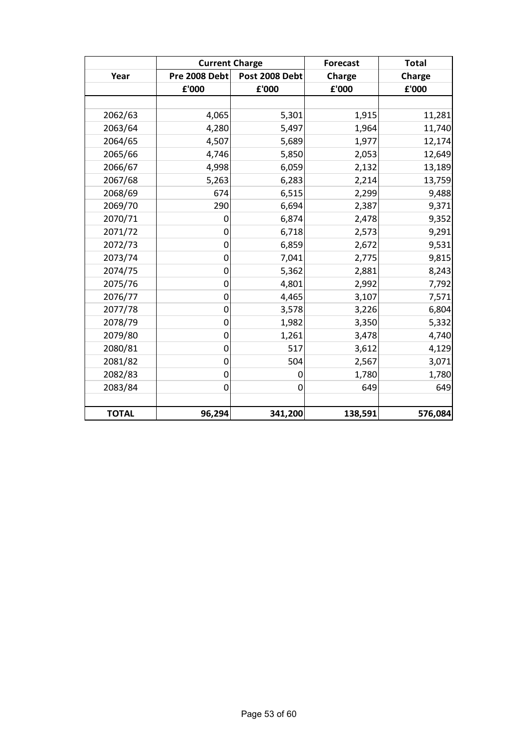|              | <b>Current Charge</b> |                | <b>Forecast</b> | <b>Total</b> |
|--------------|-----------------------|----------------|-----------------|--------------|
| Year         | Pre 2008 Debt         | Post 2008 Debt | <b>Charge</b>   | Charge       |
|              | £'000                 | £'000          | £'000           | £'000        |
|              |                       |                |                 |              |
| 2062/63      | 4,065                 | 5,301          | 1,915           | 11,281       |
| 2063/64      | 4,280                 | 5,497          | 1,964           | 11,740       |
| 2064/65      | 4,507                 | 5,689          | 1,977           | 12,174       |
| 2065/66      | 4,746                 | 5,850          | 2,053           | 12,649       |
| 2066/67      | 4,998                 | 6,059          | 2,132           | 13,189       |
| 2067/68      | 5,263                 | 6,283          | 2,214           | 13,759       |
| 2068/69      | 674                   | 6,515          | 2,299           | 9,488        |
| 2069/70      | 290                   | 6,694          | 2,387           | 9,371        |
| 2070/71      | $\mathbf 0$           | 6,874          | 2,478           | 9,352        |
| 2071/72      | $\mathbf 0$           | 6,718          | 2,573           | 9,291        |
| 2072/73      | $\mathbf 0$           | 6,859          | 2,672           | 9,531        |
| 2073/74      | $\mathbf 0$           | 7,041          | 2,775           | 9,815        |
| 2074/75      | $\mathbf 0$           | 5,362          | 2,881           | 8,243        |
| 2075/76      | $\mathbf 0$           | 4,801          | 2,992           | 7,792        |
| 2076/77      | $\mathbf 0$           | 4,465          | 3,107           | 7,571        |
| 2077/78      | $\mathbf 0$           | 3,578          | 3,226           | 6,804        |
| 2078/79      | $\mathbf 0$           | 1,982          | 3,350           | 5,332        |
| 2079/80      | $\mathbf 0$           | 1,261          | 3,478           | 4,740        |
| 2080/81      | $\mathbf 0$           | 517            | 3,612           | 4,129        |
| 2081/82      | 0                     | 504            | 2,567           | 3,071        |
| 2082/83      | $\mathbf 0$           | 0              | 1,780           | 1,780        |
| 2083/84      | $\mathbf 0$           | 0              | 649             | 649          |
|              |                       |                |                 |              |
| <b>TOTAL</b> | 96,294                | 341,200        | 138,591         | 576,084      |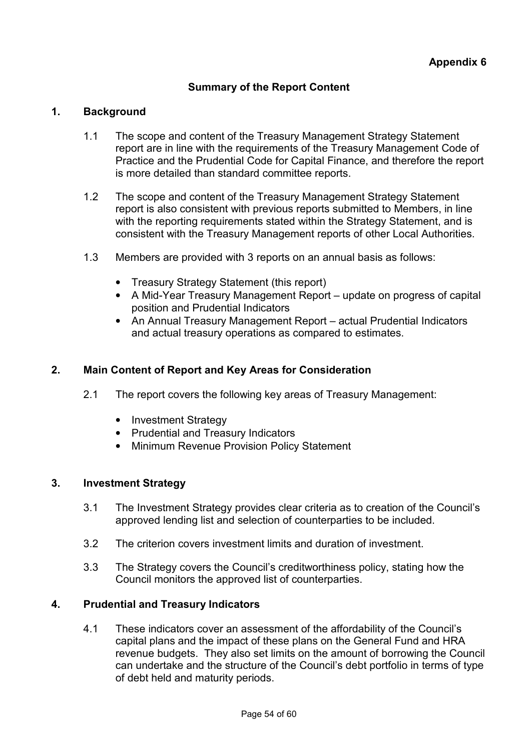## **Summary of the Report Content**

### **1. Background**

- 1.1 The scope and content of the Treasury Management Strategy Statement report are in line with the requirements of the Treasury Management Code of Practice and the Prudential Code for Capital Finance, and therefore the report is more detailed than standard committee reports.
- 1.2 The scope and content of the Treasury Management Strategy Statement report is also consistent with previous reports submitted to Members, in line with the reporting requirements stated within the Strategy Statement, and is consistent with the Treasury Management reports of other Local Authorities.
- 1.3 Members are provided with 3 reports on an annual basis as follows:
	- Treasury Strategy Statement (this report)
	- A Mid-Year Treasury Management Report update on progress of capital position and Prudential Indicators
	- An Annual Treasury Management Report actual Prudential Indicators and actual treasury operations as compared to estimates.

#### **2. Main Content of Report and Key Areas for Consideration**

- 2.1 The report covers the following key areas of Treasury Management:
	- Investment Strategy
	- Prudential and Treasury Indicators
	- Minimum Revenue Provision Policy Statement

### **3. Investment Strategy**

- 3.1 The Investment Strategy provides clear criteria as to creation of the Council's approved lending list and selection of counterparties to be included.
- 3.2 The criterion covers investment limits and duration of investment.
- 3.3 The Strategy covers the Council's creditworthiness policy, stating how the Council monitors the approved list of counterparties.

### **4. Prudential and Treasury Indicators**

4.1 These indicators cover an assessment of the affordability of the Council's capital plans and the impact of these plans on the General Fund and HRA revenue budgets. They also set limits on the amount of borrowing the Council can undertake and the structure of the Council's debt portfolio in terms of type of debt held and maturity periods.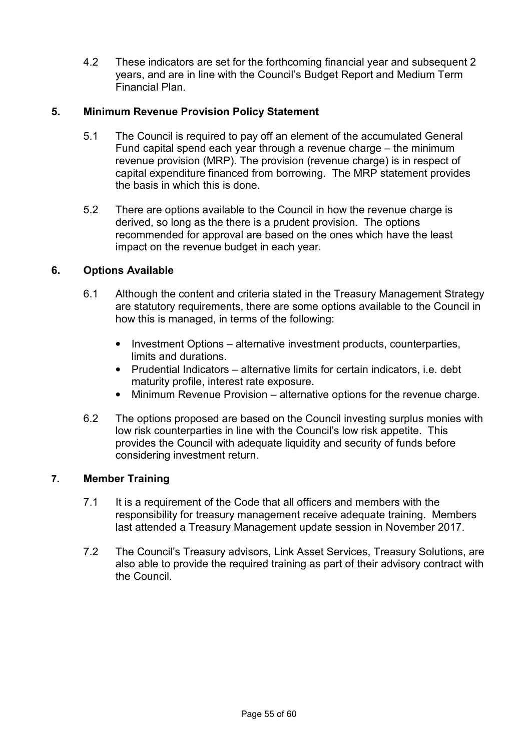4.2 These indicators are set for the forthcoming financial year and subsequent 2 years, and are in line with the Council's Budget Report and Medium Term Financial Plan.

## **5. Minimum Revenue Provision Policy Statement**

- 5.1 The Council is required to pay off an element of the accumulated General Fund capital spend each year through a revenue charge – the minimum revenue provision (MRP). The provision (revenue charge) is in respect of capital expenditure financed from borrowing. The MRP statement provides the basis in which this is done.
- 5.2 There are options available to the Council in how the revenue charge is derived, so long as the there is a prudent provision. The options recommended for approval are based on the ones which have the least impact on the revenue budget in each year.

## **6. Options Available**

- 6.1 Although the content and criteria stated in the Treasury Management Strategy are statutory requirements, there are some options available to the Council in how this is managed, in terms of the following:
	- Investment Options alternative investment products, counterparties, limits and durations.
	- Prudential Indicators alternative limits for certain indicators, i.e. debt maturity profile, interest rate exposure.
	- Minimum Revenue Provision alternative options for the revenue charge.
- 6.2 The options proposed are based on the Council investing surplus monies with low risk counterparties in line with the Council's low risk appetite. This provides the Council with adequate liquidity and security of funds before considering investment return.

## **7. Member Training**

- 7.1 It is a requirement of the Code that all officers and members with the responsibility for treasury management receive adequate training. Members last attended a Treasury Management update session in November 2017.
- 7.2 The Council's Treasury advisors, Link Asset Services, Treasury Solutions, are also able to provide the required training as part of their advisory contract with the Council.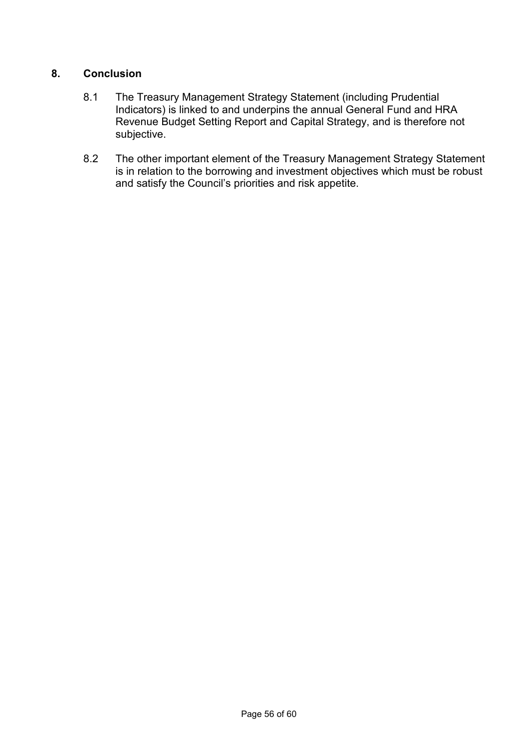## **8. Conclusion**

- 8.1 The Treasury Management Strategy Statement (including Prudential Indicators) is linked to and underpins the annual General Fund and HRA Revenue Budget Setting Report and Capital Strategy, and is therefore not subjective.
- 8.2 The other important element of the Treasury Management Strategy Statement is in relation to the borrowing and investment objectives which must be robust and satisfy the Council's priorities and risk appetite.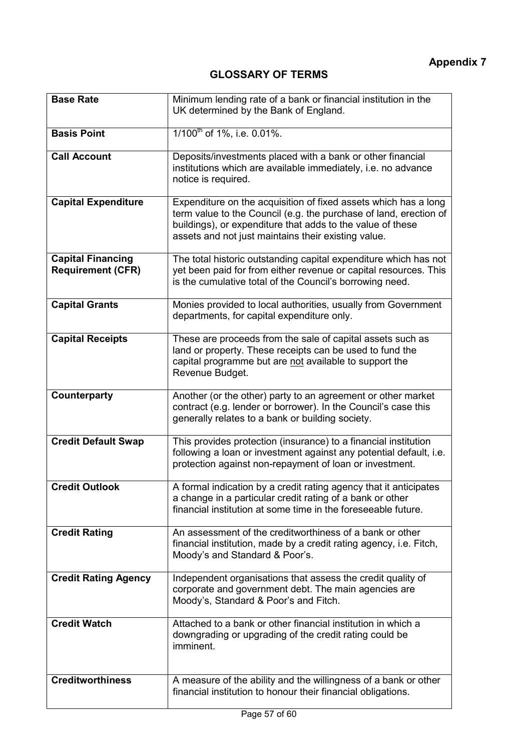| <b>Base Rate</b>                                     | Minimum lending rate of a bank or financial institution in the<br>UK determined by the Bank of England.                                                                                                                                                   |
|------------------------------------------------------|-----------------------------------------------------------------------------------------------------------------------------------------------------------------------------------------------------------------------------------------------------------|
| <b>Basis Point</b>                                   | $1/100^{th}$ of 1%, i.e. 0.01%.                                                                                                                                                                                                                           |
| <b>Call Account</b>                                  | Deposits/investments placed with a bank or other financial<br>institutions which are available immediately, i.e. no advance<br>notice is required.                                                                                                        |
| <b>Capital Expenditure</b>                           | Expenditure on the acquisition of fixed assets which has a long<br>term value to the Council (e.g. the purchase of land, erection of<br>buildings), or expenditure that adds to the value of these<br>assets and not just maintains their existing value. |
| <b>Capital Financing</b><br><b>Requirement (CFR)</b> | The total historic outstanding capital expenditure which has not<br>yet been paid for from either revenue or capital resources. This<br>is the cumulative total of the Council's borrowing need.                                                          |
| <b>Capital Grants</b>                                | Monies provided to local authorities, usually from Government<br>departments, for capital expenditure only.                                                                                                                                               |
| <b>Capital Receipts</b>                              | These are proceeds from the sale of capital assets such as<br>land or property. These receipts can be used to fund the<br>capital programme but are not available to support the<br>Revenue Budget.                                                       |
| <b>Counterparty</b>                                  | Another (or the other) party to an agreement or other market<br>contract (e.g. lender or borrower). In the Council's case this<br>generally relates to a bank or building society.                                                                        |
| <b>Credit Default Swap</b>                           | This provides protection (insurance) to a financial institution<br>following a loan or investment against any potential default, i.e.<br>protection against non-repayment of loan or investment.                                                          |
| <b>Credit Outlook</b>                                | A formal indication by a credit rating agency that it anticipates<br>a change in a particular credit rating of a bank or other<br>financial institution at some time in the foreseeable future.                                                           |
| <b>Credit Rating</b>                                 | An assessment of the creditworthiness of a bank or other<br>financial institution, made by a credit rating agency, i.e. Fitch,<br>Moody's and Standard & Poor's.                                                                                          |
| <b>Credit Rating Agency</b>                          | Independent organisations that assess the credit quality of<br>corporate and government debt. The main agencies are<br>Moody's, Standard & Poor's and Fitch.                                                                                              |
| <b>Credit Watch</b>                                  | Attached to a bank or other financial institution in which a<br>downgrading or upgrading of the credit rating could be<br>imminent.                                                                                                                       |
| <b>Creditworthiness</b>                              | A measure of the ability and the willingness of a bank or other<br>financial institution to honour their financial obligations.                                                                                                                           |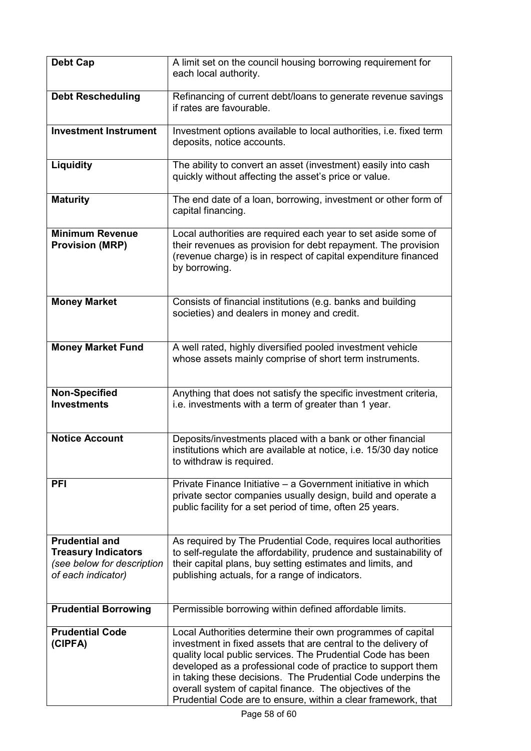| Debt Cap                                                                                                | A limit set on the council housing borrowing requirement for<br>each local authority.                                                                                                                                                                                                                                                                                                                                                                     |
|---------------------------------------------------------------------------------------------------------|-----------------------------------------------------------------------------------------------------------------------------------------------------------------------------------------------------------------------------------------------------------------------------------------------------------------------------------------------------------------------------------------------------------------------------------------------------------|
| <b>Debt Rescheduling</b>                                                                                | Refinancing of current debt/loans to generate revenue savings<br>if rates are favourable.                                                                                                                                                                                                                                                                                                                                                                 |
| <b>Investment Instrument</b>                                                                            | Investment options available to local authorities, i.e. fixed term<br>deposits, notice accounts.                                                                                                                                                                                                                                                                                                                                                          |
| Liquidity                                                                                               | The ability to convert an asset (investment) easily into cash<br>quickly without affecting the asset's price or value.                                                                                                                                                                                                                                                                                                                                    |
| <b>Maturity</b>                                                                                         | The end date of a loan, borrowing, investment or other form of<br>capital financing.                                                                                                                                                                                                                                                                                                                                                                      |
| <b>Minimum Revenue</b><br><b>Provision (MRP)</b>                                                        | Local authorities are required each year to set aside some of<br>their revenues as provision for debt repayment. The provision<br>(revenue charge) is in respect of capital expenditure financed<br>by borrowing.                                                                                                                                                                                                                                         |
| <b>Money Market</b>                                                                                     | Consists of financial institutions (e.g. banks and building<br>societies) and dealers in money and credit.                                                                                                                                                                                                                                                                                                                                                |
| <b>Money Market Fund</b>                                                                                | A well rated, highly diversified pooled investment vehicle<br>whose assets mainly comprise of short term instruments.                                                                                                                                                                                                                                                                                                                                     |
| <b>Non-Specified</b><br><b>Investments</b>                                                              | Anything that does not satisfy the specific investment criteria,<br>i.e. investments with a term of greater than 1 year.                                                                                                                                                                                                                                                                                                                                  |
| <b>Notice Account</b>                                                                                   | Deposits/investments placed with a bank or other financial<br>institutions which are available at notice, i.e. 15/30 day notice<br>to withdraw is required.                                                                                                                                                                                                                                                                                               |
| <b>PFI</b>                                                                                              | Private Finance Initiative - a Government initiative in which<br>private sector companies usually design, build and operate a<br>public facility for a set period of time, often 25 years.                                                                                                                                                                                                                                                                |
| <b>Prudential and</b><br><b>Treasury Indicators</b><br>(see below for description<br>of each indicator) | As required by The Prudential Code, requires local authorities<br>to self-regulate the affordability, prudence and sustainability of<br>their capital plans, buy setting estimates and limits, and<br>publishing actuals, for a range of indicators.                                                                                                                                                                                                      |
| <b>Prudential Borrowing</b>                                                                             | Permissible borrowing within defined affordable limits.                                                                                                                                                                                                                                                                                                                                                                                                   |
| <b>Prudential Code</b><br>(CIPFA)                                                                       | Local Authorities determine their own programmes of capital<br>investment in fixed assets that are central to the delivery of<br>quality local public services. The Prudential Code has been<br>developed as a professional code of practice to support them<br>in taking these decisions. The Prudential Code underpins the<br>overall system of capital finance. The objectives of the<br>Prudential Code are to ensure, within a clear framework, that |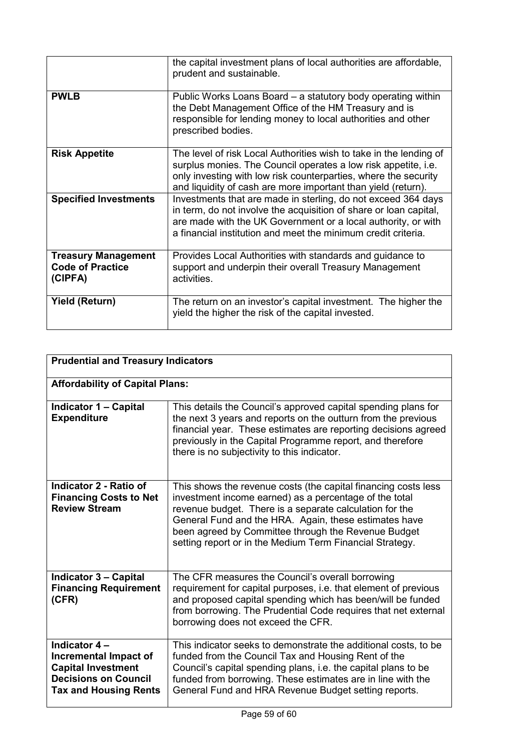|                                                                  | the capital investment plans of local authorities are affordable,<br>prudent and sustainable.                                                                                                                                                                            |
|------------------------------------------------------------------|--------------------------------------------------------------------------------------------------------------------------------------------------------------------------------------------------------------------------------------------------------------------------|
| <b>PWLB</b>                                                      | Public Works Loans Board - a statutory body operating within<br>the Debt Management Office of the HM Treasury and is<br>responsible for lending money to local authorities and other<br>prescribed bodies.                                                               |
| <b>Risk Appetite</b>                                             | The level of risk Local Authorities wish to take in the lending of<br>surplus monies. The Council operates a low risk appetite, i.e.<br>only investing with low risk counterparties, where the security<br>and liquidity of cash are more important than yield (return). |
| <b>Specified Investments</b>                                     | Investments that are made in sterling, do not exceed 364 days<br>in term, do not involve the acquisition of share or loan capital,<br>are made with the UK Government or a local authority, or with<br>a financial institution and meet the minimum credit criteria.     |
| <b>Treasury Management</b><br><b>Code of Practice</b><br>(CIPFA) | Provides Local Authorities with standards and guidance to<br>support and underpin their overall Treasury Management<br>activities.                                                                                                                                       |
| <b>Yield (Return)</b>                                            | The return on an investor's capital investment. The higher the<br>yield the higher the risk of the capital invested.                                                                                                                                                     |

| <b>Prudential and Treasury Indicators</b>                                                                                          |                                                                                                                                                                                                                                                                                                                                                                 |  |
|------------------------------------------------------------------------------------------------------------------------------------|-----------------------------------------------------------------------------------------------------------------------------------------------------------------------------------------------------------------------------------------------------------------------------------------------------------------------------------------------------------------|--|
| <b>Affordability of Capital Plans:</b>                                                                                             |                                                                                                                                                                                                                                                                                                                                                                 |  |
| <b>Indicator 1 – Capital</b><br><b>Expenditure</b>                                                                                 | This details the Council's approved capital spending plans for<br>the next 3 years and reports on the outturn from the previous<br>financial year. These estimates are reporting decisions agreed<br>previously in the Capital Programme report, and therefore<br>there is no subjectivity to this indicator.                                                   |  |
| Indicator 2 - Ratio of<br><b>Financing Costs to Net</b><br><b>Review Stream</b>                                                    | This shows the revenue costs (the capital financing costs less<br>investment income earned) as a percentage of the total<br>revenue budget. There is a separate calculation for the<br>General Fund and the HRA. Again, these estimates have<br>been agreed by Committee through the Revenue Budget<br>setting report or in the Medium Term Financial Strategy. |  |
| <b>Indicator 3 - Capital</b><br><b>Financing Requirement</b><br>(CFR)                                                              | The CFR measures the Council's overall borrowing<br>requirement for capital purposes, i.e. that element of previous<br>and proposed capital spending which has been/will be funded<br>from borrowing. The Prudential Code requires that net external<br>borrowing does not exceed the CFR.                                                                      |  |
| Indicator 4 -<br>Incremental Impact of<br><b>Capital Investment</b><br><b>Decisions on Council</b><br><b>Tax and Housing Rents</b> | This indicator seeks to demonstrate the additional costs, to be<br>funded from the Council Tax and Housing Rent of the<br>Council's capital spending plans, i.e. the capital plans to be<br>funded from borrowing. These estimates are in line with the<br>General Fund and HRA Revenue Budget setting reports.                                                 |  |